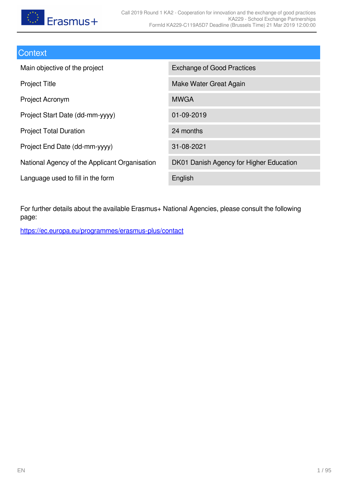

## **Context**

| Main objective of the project                 | <b>Exchange of Good Practices</b>       |
|-----------------------------------------------|-----------------------------------------|
| <b>Project Title</b>                          | Make Water Great Again                  |
| <b>Project Acronym</b>                        | <b>MWGA</b>                             |
| Project Start Date (dd-mm-yyyy)               | 01-09-2019                              |
| <b>Project Total Duration</b>                 | 24 months                               |
| Project End Date (dd-mm-yyyy)                 | 31-08-2021                              |
| National Agency of the Applicant Organisation | DK01 Danish Agency for Higher Education |
| Language used to fill in the form             | English                                 |

For further details about the available Erasmus+ National Agencies, please consult the following page:

<https://ec.europa.eu/programmes/erasmus-plus/contact>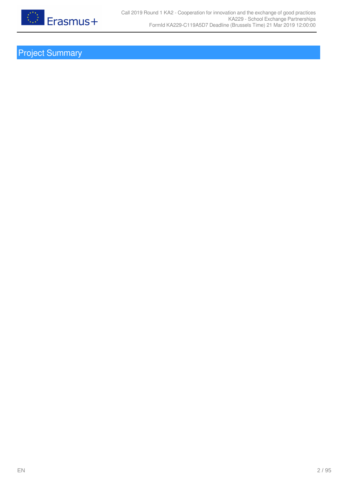

# Project Summary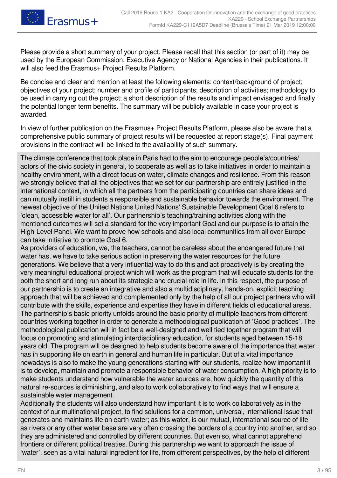

Please provide a short summary of your project. Please recall that this section (or part of it) may be used by the European Commission, Executive Agency or National Agencies in their publications. It will also feed the Erasmus+ Project Results Platform.

Be concise and clear and mention at least the following elements: context/background of project; objectives of your project; number and profile of participants; description of activities; methodology to be used in carrying out the project; a short description of the results and impact envisaged and finally the potential longer term benefits. The summary will be publicly available in case your project is awarded.

In view of further publication on the Erasmus+ Project Results Platform, please also be aware that a comprehensive public summary of project results will be requested at report stage(s). Final payment provisions in the contract will be linked to the availability of such summary.

The climate conference that took place in Paris had to the aim to encourage people's/countries/ actors of the civic society in general, to cooperate as well as to take initiatives in order to maintain a healthy environment, with a direct focus on water, climate changes and resilience. From this reason we strongly believe that all the objectives that we set for our partnership are entirely justified in the international context, in which all the partners from the participating countries can share ideas and can mutually instill in students a responsible and sustainable behavior towards the environment. The newest objective of the United Nations United Nations' Sustainable Development Goal 6 refers to 'clean, accessible water for all'. Our partnership's teaching/training activities along with the mentioned outcomes will set a standard for the very important Goal and our purpose is to attain the High-Level Panel. We want to prove how schools and also local communities from all over Europe can take initiative to promote Goal 6.

As providers of education, we, the teachers, cannot be careless about the endangered future that water has, we have to take serious action in preserving the water resources for the future generations. We believe that a very influential way to do this and act proactively is by creating the very meaningful educational project which will work as the program that will educate students for the both the short and long run about its strategic and crucial role in life. In this respect, the purpose of our partnership is to create an integrative and also a multidisciplinary, hands-on, explicit teaching approach that will be achieved and complemented only by the help of all our project partners who will contribute with the skills, experience and expertise they have in different fields of educational areas. The partnership's basic priority unfolds around the basic priority of multiple teachers from different countries working together in order to generate a methodological publication of 'Good practices'. The methodological publication will in fact be a well-designed and well tied together program that will focus on promoting and stimulating interdisciplinary education, for students aged between 15-18 years old. The program will be designed to help students become aware of the importance that water has in supporting life on earth in general and human life in particular. But of a vital importance nowadays is also to make the young generations-starting with our students, realize how important it is to develop, maintain and promote a responsible behavior of water consumption. A high priority is to make students understand how vulnerable the water sources are, how quickly the quantity of this natural re-sources is diminishing, and also to work collaboratively to find ways that will ensure a sustainable water management.

Additionally the students will also understand how important it is to work collaboratively as in the context of our multinational project, to find solutions for a common, universal, international issue that generates and maintains life on earth-water; as this water, is our mutual, international source of life as rivers or any other water base are very often crossing the borders of a country into another, and so they are administered and controlled by different countries. But even so, what cannot apprehend frontiers or different political treaties. During this partnership we want to approach the issue of 'water', seen as a vital natural ingredient for life, from different perspectives, by the help of different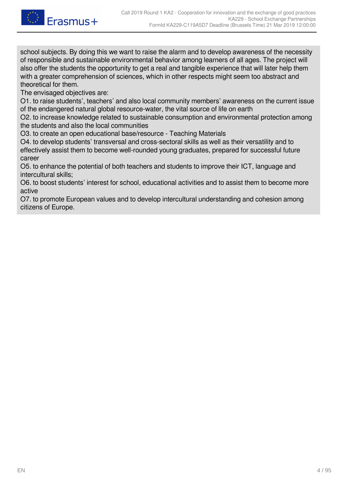

school subjects. By doing this we want to raise the alarm and to develop awareness of the necessity of responsible and sustainable environmental behavior among learners of all ages. The project will also offer the students the opportunity to get a real and tangible experience that will later help them with a greater comprehension of sciences, which in other respects might seem too abstract and theoretical for them.

The envisaged objectives are:

O1. to raise students', teachers' and also local community members' awareness on the current issue of the endangered natural global resource-water, the vital source of life on earth

O2. to increase knowledge related to sustainable consumption and environmental protection among the students and also the local communities

O3. to create an open educational base/resource - Teaching Materials

O4. to develop students' transversal and cross-sectoral skills as well as their versatility and to effectively assist them to become well-rounded young graduates, prepared for successful future career

O5. to enhance the potential of both teachers and students to improve their ICT, language and intercultural skills;

O6. to boost students' interest for school, educational activities and to assist them to become more active

O7. to promote European values and to develop intercultural understanding and cohesion among citizens of Europe.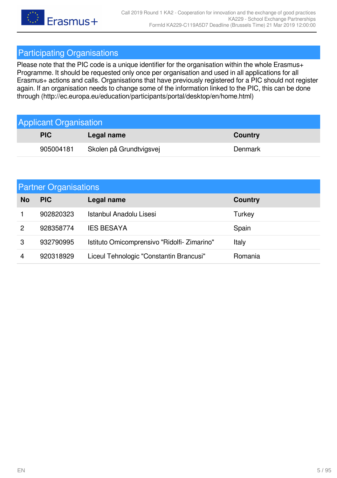

#### Participating Organisations

Please note that the PIC code is a unique identifier for the organisation within the whole Erasmus+ Programme. It should be requested only once per organisation and used in all applications for all Erasmus+ actions and calls. Organisations that have previously registered for a PIC should not register again. If an organisation needs to change some of the information linked to the PIC, this can be done through (http://ec.europa.eu/education/participants/portal/desktop/en/home.html)

#### Applicant Organisation

| <b>PIC</b> | Legal name              | <b>Country</b> |
|------------|-------------------------|----------------|
| 905004181  | Skolen på Grundtvigsvej | Denmark        |

| <b>Partner Organisations</b> |            |                                             |                |  |
|------------------------------|------------|---------------------------------------------|----------------|--|
| <b>No</b>                    | <b>PIC</b> | Legal name                                  | <b>Country</b> |  |
|                              | 902820323  | Istanbul Anadolu Lisesi                     | Turkey         |  |
| 2                            | 928358774  | <b>IES BESAYA</b>                           | Spain          |  |
| 3                            | 932790995  | Istituto Omicomprensivo "Ridolfi- Zimarino" | Italy          |  |
| 4                            | 920318929  | Liceul Tehnologic "Constantin Brancusi"     | Romania        |  |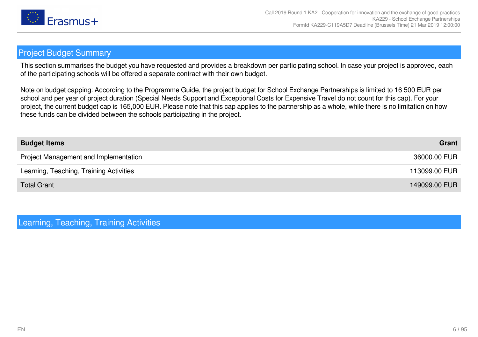

#### Project Budget Summary

This section summarises the budget you have requested and provides a breakdown per participating school. In case your project is approved, eachof the participating schools will be offered a separate contract with their own budget.

Note on budget capping: According to the Programme Guide, the project budget for School Exchange Partnerships is limited to 16 500 EUR per school and per year of project duration (Special Needs Support and Exceptional Costs for Expensive Travel do not count for this cap). For your project, the current budget cap is 165,000 EUR. Please note that this cap applies to the partnership as a whole, while there is no limitation on howthese funds can be divided between the schools participating in the project.

| <b>Budget Items</b>                     | Grant         |
|-----------------------------------------|---------------|
| Project Management and Implementation   | 36000.00 EUR  |
| Learning, Teaching, Training Activities | 113099.00 EUR |
| <b>Total Grant</b>                      | 149099.00 EUR |

#### Learning, Teaching, Training Activities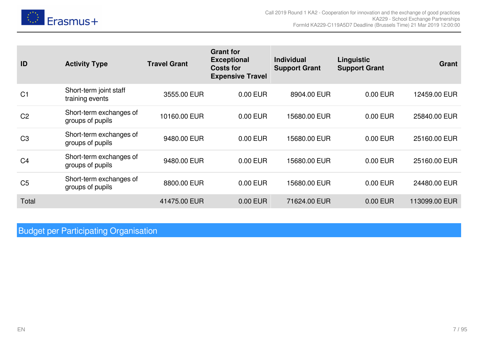

| ID             | <b>Activity Type</b>                        | <b>Travel Grant</b> | <b>Grant for</b><br><b>Exceptional</b><br><b>Costs for</b><br><b>Expensive Travel</b> | <b>Individual</b><br><b>Support Grant</b> | Linguistic<br><b>Support Grant</b> | Grant         |
|----------------|---------------------------------------------|---------------------|---------------------------------------------------------------------------------------|-------------------------------------------|------------------------------------|---------------|
| C <sub>1</sub> | Short-term joint staff<br>training events   | 3555,00 EUR         | 0.00 EUR                                                                              | 8904.00 EUR                               | 0.00 EUR                           | 12459.00 EUR  |
| C <sub>2</sub> | Short-term exchanges of<br>groups of pupils | 10160.00 EUR        | 0.00 EUR                                                                              | 15680.00 EUR                              | 0.00 EUR                           | 25840.00 EUR  |
| C <sub>3</sub> | Short-term exchanges of<br>groups of pupils | 9480.00 EUR         | 0.00 EUR                                                                              | 15680.00 EUR                              | 0.00 EUR                           | 25160.00 EUR  |
| C <sub>4</sub> | Short-term exchanges of<br>groups of pupils | 9480.00 EUR         | 0.00 EUR                                                                              | 15680.00 EUR                              | 0.00 EUR                           | 25160.00 EUR  |
| C <sub>5</sub> | Short-term exchanges of<br>groups of pupils | 8800.00 EUR         | 0.00 EUR                                                                              | 15680.00 EUR                              | 0.00 EUR                           | 24480.00 EUR  |
| Total          |                                             | 41475.00 EUR        | 0.00 EUR                                                                              | 71624.00 EUR                              | 0.00 EUR                           | 113099.00 EUR |

# Budget per Participating Organisation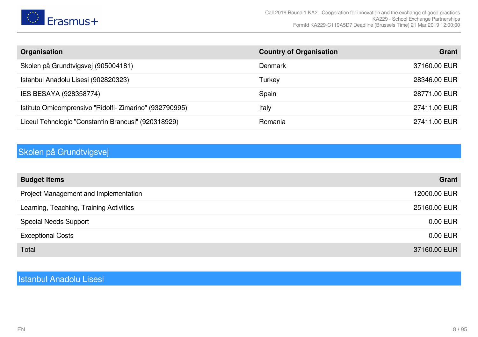

| Organisation                                            | <b>Country of Organisation</b> | Grant        |
|---------------------------------------------------------|--------------------------------|--------------|
| Skolen på Grundtvigsvej (905004181)                     | <b>Denmark</b>                 | 37160.00 EUR |
| Istanbul Anadolu Lisesi (902820323)                     | Turkey                         | 28346,00 EUR |
| IES BESAYA (928358774)                                  | Spain                          | 28771.00 EUR |
| Istituto Omicomprensivo "Ridolfi- Zimarino" (932790995) | <b>Italy</b>                   | 27411.00 EUR |
| Liceul Tehnologic "Constantin Brancusi" (920318929)     | Romania                        | 27411.00 EUR |

# Skolen på Grundtvigsvej

| <b>Budget Items</b>                     | Grant        |
|-----------------------------------------|--------------|
| Project Management and Implementation   | 12000.00 EUR |
| Learning, Teaching, Training Activities | 25160.00 EUR |
| <b>Special Needs Support</b>            | 0.00 EUR     |
| <b>Exceptional Costs</b>                | 0.00 EUR     |
| Total                                   | 37160.00 EUR |

## Istanbul Anadolu Lisesi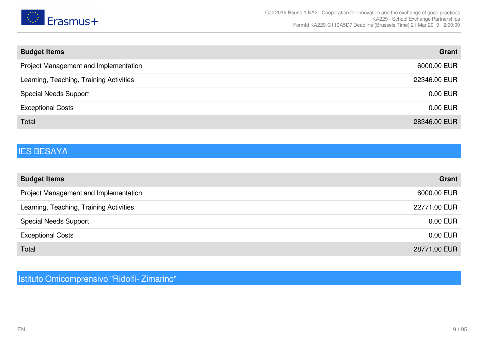

| <b>Budget Items</b>                     | Grant        |
|-----------------------------------------|--------------|
| Project Management and Implementation   | 6000.00 EUR  |
| Learning, Teaching, Training Activities | 22346.00 EUR |
| <b>Special Needs Support</b>            | 0.00 EUR     |
| <b>Exceptional Costs</b>                | 0.00 EUR     |
| Total                                   | 28346.00 EUR |

# IES BESAYA

| <b>Budget Items</b>                     | Grant        |
|-----------------------------------------|--------------|
| Project Management and Implementation   | 6000.00 EUR  |
| Learning, Teaching, Training Activities | 22771.00 EUR |
| <b>Special Needs Support</b>            | 0.00 EUR     |
| <b>Exceptional Costs</b>                | 0.00 EUR     |
| Total                                   | 28771.00 EUR |

## Istituto Omicomprensivo "Ridolfi- Zimarino"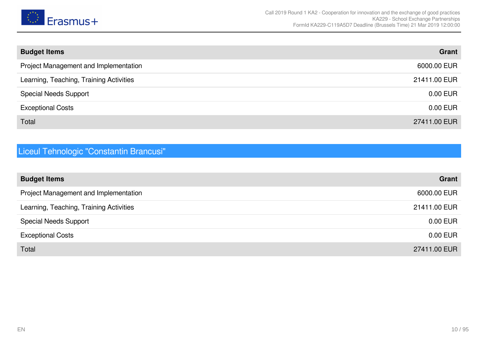

| <b>Budget Items</b>                     | Grant        |
|-----------------------------------------|--------------|
| Project Management and Implementation   | 6000.00 EUR  |
| Learning, Teaching, Training Activities | 21411.00 EUR |
| <b>Special Needs Support</b>            | 0.00 EUR     |
| <b>Exceptional Costs</b>                | 0.00 EUR     |
| Total                                   | 27411.00 EUR |

# Liceul Tehnologic "Constantin Brancusi"

| <b>Budget Items</b>                     | Grant        |
|-----------------------------------------|--------------|
| Project Management and Implementation   | 6000.00 EUR  |
| Learning, Teaching, Training Activities | 21411.00 EUR |
| <b>Special Needs Support</b>            | 0.00 EUR     |
| <b>Exceptional Costs</b>                | 0.00 EUR     |
| Total                                   | 27411.00 EUR |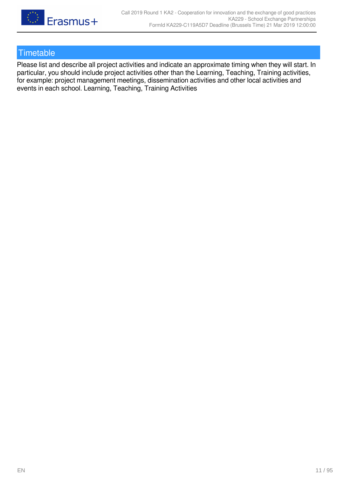

#### **Timetable**

Please list and describe all project activities and indicate an approximate timing when they will start. In particular, you should include project activities other than the Learning, Teaching, Training activities, for example: project management meetings, dissemination activities and other local activities and events in each school. Learning, Teaching, Training Activities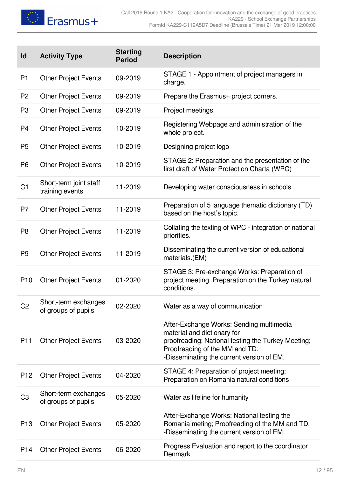

| Id              | <b>Activity Type</b>                        | <b>Starting</b><br><b>Period</b> | <b>Description</b>                                                                                                                                                                                           |
|-----------------|---------------------------------------------|----------------------------------|--------------------------------------------------------------------------------------------------------------------------------------------------------------------------------------------------------------|
| P <sub>1</sub>  | <b>Other Project Events</b>                 | 09-2019                          | STAGE 1 - Appointment of project managers in<br>charge.                                                                                                                                                      |
| P <sub>2</sub>  | <b>Other Project Events</b>                 | 09-2019                          | Prepare the Erasmus+ project corners.                                                                                                                                                                        |
| P <sub>3</sub>  | <b>Other Project Events</b>                 | 09-2019                          | Project meetings.                                                                                                                                                                                            |
| P <sub>4</sub>  | <b>Other Project Events</b>                 | 10-2019                          | Registering Webpage and administration of the<br>whole project.                                                                                                                                              |
| P <sub>5</sub>  | <b>Other Project Events</b>                 | 10-2019                          | Designing project logo                                                                                                                                                                                       |
| P <sub>6</sub>  | <b>Other Project Events</b>                 | 10-2019                          | STAGE 2: Preparation and the presentation of the<br>first draft of Water Protection Charta (WPC)                                                                                                             |
| C <sub>1</sub>  | Short-term joint staff<br>training events   | 11-2019                          | Developing water consciousness in schools                                                                                                                                                                    |
| P7              | <b>Other Project Events</b>                 | 11-2019                          | Preparation of 5 language thematic dictionary (TD)<br>based on the host's topic.                                                                                                                             |
| P <sub>8</sub>  | <b>Other Project Events</b>                 | 11-2019                          | Collating the texting of WPC - integration of national<br>priorities.                                                                                                                                        |
| P <sub>9</sub>  | <b>Other Project Events</b>                 | 11-2019                          | Disseminating the current version of educational<br>materials.(EM)                                                                                                                                           |
| P <sub>10</sub> | <b>Other Project Events</b>                 | 01-2020                          | STAGE 3: Pre-exchange Works: Preparation of<br>project meeting. Preparation on the Turkey natural<br>conditions.                                                                                             |
| C <sub>2</sub>  | Short-term exchanges<br>of groups of pupils | 02-2020                          | Water as a way of communication                                                                                                                                                                              |
| P <sub>11</sub> | <b>Other Project Events</b>                 | 03-2020                          | After-Exchange Works: Sending multimedia<br>material and dictionary for<br>proofreading; National testing the Turkey Meeting;<br>Proofreading of the MM and TD.<br>-Disseminating the current version of EM. |
| P <sub>12</sub> | <b>Other Project Events</b>                 | 04-2020                          | STAGE 4: Preparation of project meeting;<br>Preparation on Romania natural conditions                                                                                                                        |
| C <sub>3</sub>  | Short-term exchanges<br>of groups of pupils | 05-2020                          | Water as lifeline for humanity                                                                                                                                                                               |
| P <sub>13</sub> | <b>Other Project Events</b>                 | 05-2020                          | After-Exchange Works: National testing the<br>Romania meting; Proofreading of the MM and TD.<br>-Disseminating the current version of EM.                                                                    |
| P <sub>14</sub> | <b>Other Project Events</b>                 | 06-2020                          | Progress Evaluation and report to the coordinator<br><b>Denmark</b>                                                                                                                                          |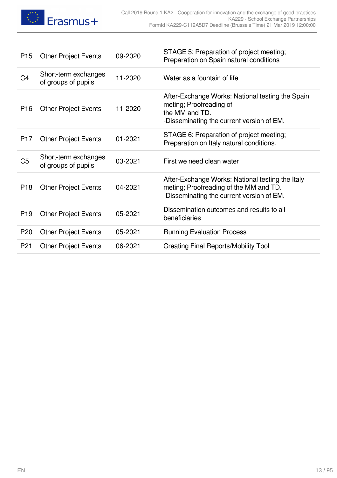

| P <sub>15</sub> | <b>Other Project Events</b>                 | 09-2020 | STAGE 5: Preparation of project meeting;<br>Preparation on Spain natural conditions                                                        |
|-----------------|---------------------------------------------|---------|--------------------------------------------------------------------------------------------------------------------------------------------|
| C <sub>4</sub>  | Short-term exchanges<br>of groups of pupils | 11-2020 | Water as a fountain of life                                                                                                                |
| P <sub>16</sub> | <b>Other Project Events</b>                 | 11-2020 | After-Exchange Works: National testing the Spain<br>meting; Proofreading of<br>the MM and TD.<br>-Disseminating the current version of EM. |
| P <sub>17</sub> | <b>Other Project Events</b>                 | 01-2021 | STAGE 6: Preparation of project meeting;<br>Preparation on Italy natural conditions.                                                       |
| C <sub>5</sub>  | Short-term exchanges<br>of groups of pupils | 03-2021 | First we need clean water                                                                                                                  |
| P <sub>18</sub> | <b>Other Project Events</b>                 | 04-2021 | After-Exchange Works: National testing the Italy<br>meting; Proofreading of the MM and TD.<br>-Disseminating the current version of EM.    |
| P <sub>19</sub> | <b>Other Project Events</b>                 | 05-2021 | Dissemination outcomes and results to all<br>beneficiaries                                                                                 |
| P <sub>20</sub> | <b>Other Project Events</b>                 | 05-2021 | <b>Running Evaluation Process</b>                                                                                                          |
| P <sub>21</sub> | <b>Other Project Events</b>                 | 06-2021 | <b>Creating Final Reports/Mobility Tool</b>                                                                                                |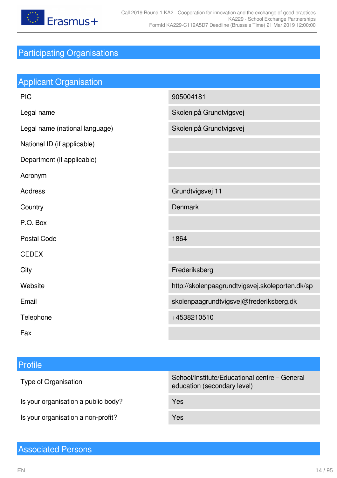

## Participating Organisations

| <b>Applicant Organisation</b>  |                                                 |
|--------------------------------|-------------------------------------------------|
| <b>PIC</b>                     | 905004181                                       |
| Legal name                     | Skolen på Grundtvigsvej                         |
| Legal name (national language) | Skolen på Grundtvigsvej                         |
| National ID (if applicable)    |                                                 |
| Department (if applicable)     |                                                 |
| Acronym                        |                                                 |
| <b>Address</b>                 | Grundtvigsvej 11                                |
| Country                        | <b>Denmark</b>                                  |
| P.O. Box                       |                                                 |
| <b>Postal Code</b>             | 1864                                            |
| <b>CEDEX</b>                   |                                                 |
| City                           | Frederiksberg                                   |
| Website                        | http://skolenpaagrundtvigsvej.skoleporten.dk/sp |
| Email                          | skolenpaagrundtvigsvej@frederiksberg.dk         |
| Telephone                      | +4538210510                                     |
| Fax                            |                                                 |

## Profile

| Type of Organisation                | School/Institute/Educational centre - General<br>education (secondary level) |
|-------------------------------------|------------------------------------------------------------------------------|
| Is your organisation a public body? | Yes                                                                          |
| Is your organisation a non-profit?  | Yes                                                                          |

# Associated Persons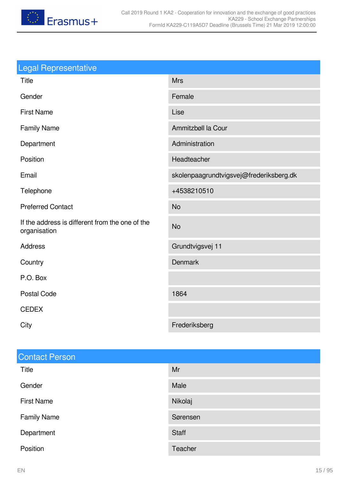

| <b>Legal Representative</b>                                     |                                         |
|-----------------------------------------------------------------|-----------------------------------------|
| <b>Title</b>                                                    | <b>Mrs</b>                              |
| Gender                                                          | Female                                  |
| <b>First Name</b>                                               | Lise                                    |
| <b>Family Name</b>                                              | Ammitzbøll la Cour                      |
| Department                                                      | Administration                          |
| Position                                                        | Headteacher                             |
| Email                                                           | skolenpaagrundtvigsvej@frederiksberg.dk |
| Telephone                                                       | +4538210510                             |
| <b>Preferred Contact</b>                                        | <b>No</b>                               |
| If the address is different from the one of the<br>organisation | <b>No</b>                               |
| <b>Address</b>                                                  | Grundtvigsvej 11                        |
| Country                                                         | <b>Denmark</b>                          |
| P.O. Box                                                        |                                         |
| <b>Postal Code</b>                                              | 1864                                    |
| <b>CEDEX</b>                                                    |                                         |
| City                                                            | Frederiksberg                           |

| <b>Contact Person</b> |              |
|-----------------------|--------------|
| <b>Title</b>          | Mr           |
| Gender                | Male         |
| <b>First Name</b>     | Nikolaj      |
| <b>Family Name</b>    | Sørensen     |
| Department            | <b>Staff</b> |
| Position              | Teacher      |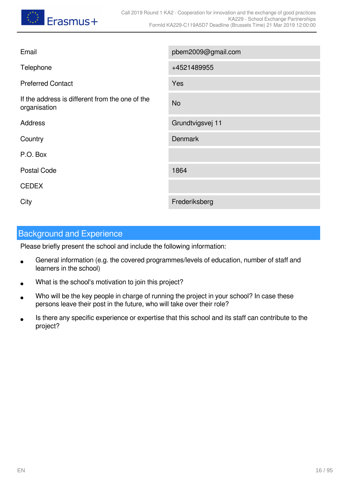

| Email                                                           | pbem2009@gmail.com |
|-----------------------------------------------------------------|--------------------|
| Telephone                                                       | +4521489955        |
| <b>Preferred Contact</b>                                        | Yes                |
| If the address is different from the one of the<br>organisation | <b>No</b>          |
| <b>Address</b>                                                  | Grundtvigsvej 11   |
| Country                                                         | <b>Denmark</b>     |
| P.O. Box                                                        |                    |
| <b>Postal Code</b>                                              | 1864               |
| <b>CEDEX</b>                                                    |                    |
| City                                                            | Frederiksberg      |

#### Background and Experience

Please briefly present the school and include the following information:

- General information (e.g. the covered programmes/levels of education, number of staff and learners in the school)
- What is the school's motivation to join this project?
- Who will be the key people in charge of running the project in your school? In case these persons leave their post in the future, who will take over their role?
- Is there any specific experience or expertise that this school and its staff can contribute to the project?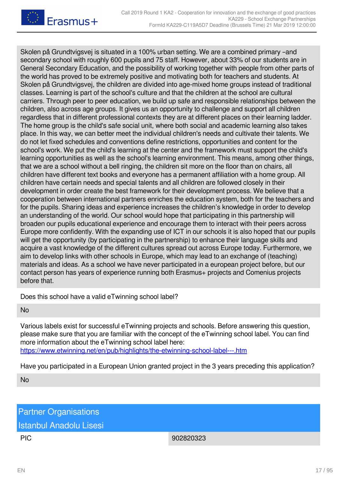

Skolen på Grundtvigsvej is situated in a 100% urban setting. We are a combined primary –and secondary school with roughly 600 pupils and 75 staff. However, about 33% of our students are in General Secondary Education, and the possibility of working together with people from other parts of the world has proved to be extremely positive and motivating both for teachers and students. At Skolen på Grundtvigsvej, the children are divided into age-mixed home groups instead of traditional classes. Learning is part of the school's culture and that the children at the school are cultural carriers. Through peer to peer education, we build up safe and responsible relationships between the children, also across age groups. It gives us an opportunity to challenge and support all children regardless that in different professional contexts they are at different places on their learning ladder. The home group is the child's safe social unit, where both social and academic learning also takes place. In this way, we can better meet the individual children's needs and cultivate their talents. We do not let fixed schedules and conventions define restrictions, opportunities and content for the school's work. We put the child's learning at the center and the framework must support the child's learning opportunities as well as the school's learning environment. This means, among other things, that we are a school without a bell ringing, the children sit more on the floor than on chairs, all children have different text books and everyone has a permanent affiliation with a home group. All children have certain needs and special talents and all children are followed closely in their development in order create the best framework for their development process. We believe that a cooperation between international partners enriches the education system, both for the teachers and for the pupils. Sharing ideas and experience increases the children's knowledge in order to develop an understanding of the world. Our school would hope that participating in this partnership will broaden our pupils educational experience and encourage them to interact with their peers across Europe more confidently. With the expanding use of ICT in our schools it is also hoped that our pupils will get the opportunity (by participating in the partnership) to enhance their language skills and acquire a vast knowledge of the different cultures spread out across Europe today. Furthermore, we aim to develop links with other schools in Europe, which may lead to an exchange of (teaching) materials and ideas. As a school we have never participated in a european project before, but our contact person has years of experience running both Erasmus+ projects and Comenius projects before that.

Does this school have a valid eTwinning school label?

No

Various labels exist for successful eTwinning projects and schools. Before answering this question, please make sure that you are familiar with the concept of the eTwinning school label. You can find more information about the eTwinning school label here: <https://www.etwinning.net/en/pub/highlights/the-etwinning-school-label---.htm>

Have you participated in a European Union granted project in the 3 years preceding this application?

No

Partner Organisations

Istanbul Anadolu Lisesi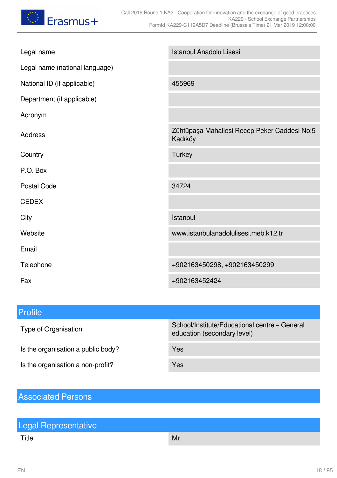

| Legal name                     | <b>Istanbul Anadolu Lisesi</b>                          |
|--------------------------------|---------------------------------------------------------|
| Legal name (national language) |                                                         |
| National ID (if applicable)    | 455969                                                  |
| Department (if applicable)     |                                                         |
| Acronym                        |                                                         |
| <b>Address</b>                 | Zühtüpaşa Mahallesi Recep Peker Caddesi No:5<br>Kadıköy |
| Country                        | <b>Turkey</b>                                           |
| P.O. Box                       |                                                         |
| <b>Postal Code</b>             | 34724                                                   |
| <b>CEDEX</b>                   |                                                         |
| City                           | <i>istanbul</i>                                         |
| Website                        | www.istanbulanadolulisesi.meb.k12.tr                    |
| Email                          |                                                         |
| Telephone                      | +902163450298, +902163450299                            |
| Fax                            | +902163452424                                           |

| <b>Profile</b>                     |                                                                              |  |
|------------------------------------|------------------------------------------------------------------------------|--|
| Type of Organisation               | School/Institute/Educational centre - General<br>education (secondary level) |  |
| Is the organisation a public body? | Yes                                                                          |  |
| Is the organisation a non-profit?  | Yes                                                                          |  |

# Associated Persons

| <b>Legal Representative</b> |    |
|-----------------------------|----|
| Title                       | Mr |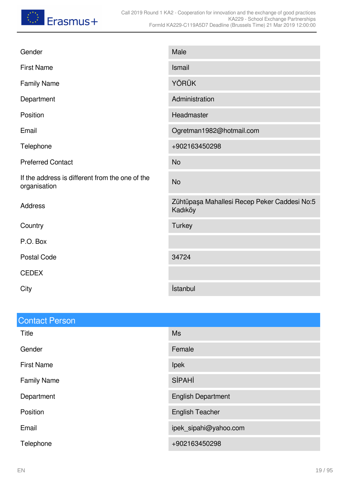

| Gender                                                          | Male                                                    |
|-----------------------------------------------------------------|---------------------------------------------------------|
| <b>First Name</b>                                               | Ismail                                                  |
| <b>Family Name</b>                                              | <b>YÖRÜK</b>                                            |
| Department                                                      | Administration                                          |
| Position                                                        | Headmaster                                              |
| Email                                                           | Ogretman1982@hotmail.com                                |
| Telephone                                                       | +902163450298                                           |
| <b>Preferred Contact</b>                                        | <b>No</b>                                               |
|                                                                 |                                                         |
| If the address is different from the one of the<br>organisation | <b>No</b>                                               |
| <b>Address</b>                                                  | Zühtüpaşa Mahallesi Recep Peker Caddesi No:5<br>Kadıköy |
| Country                                                         | <b>Turkey</b>                                           |
| P.O. Box                                                        |                                                         |
| <b>Postal Code</b>                                              | 34724                                                   |
| <b>CEDEX</b>                                                    |                                                         |

| <b>Contact Person</b> |                           |
|-----------------------|---------------------------|
| <b>Title</b>          | <b>Ms</b>                 |
| Gender                | Female                    |
| <b>First Name</b>     | Ipek                      |
| <b>Family Name</b>    | <b>SİPAHİ</b>             |
| Department            | <b>English Department</b> |
| Position              | <b>English Teacher</b>    |
| Email                 | ipek_sipahi@yahoo.com     |
| Telephone             | +902163450298             |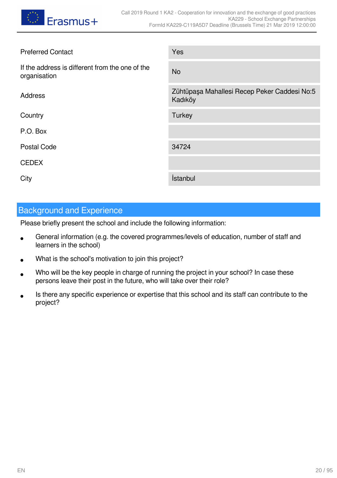

| <b>Preferred Contact</b>                                        | Yes                                                     |
|-----------------------------------------------------------------|---------------------------------------------------------|
| If the address is different from the one of the<br>organisation | <b>No</b>                                               |
| <b>Address</b>                                                  | Zühtüpaşa Mahallesi Recep Peker Caddesi No:5<br>Kadıköy |
| Country                                                         | Turkey                                                  |
| P.O. Box                                                        |                                                         |
| <b>Postal Code</b>                                              | 34724                                                   |
| <b>CEDEX</b>                                                    |                                                         |
| City                                                            | <i><b>İstanbul</b></i>                                  |

## Background and Experience

Please briefly present the school and include the following information:

- General information (e.g. the covered programmes/levels of education, number of staff and learners in the school)
- What is the school's motivation to join this project?
- Who will be the key people in charge of running the project in your school? In case these persons leave their post in the future, who will take over their role?
- Is there any specific experience or expertise that this school and its staff can contribute to the project?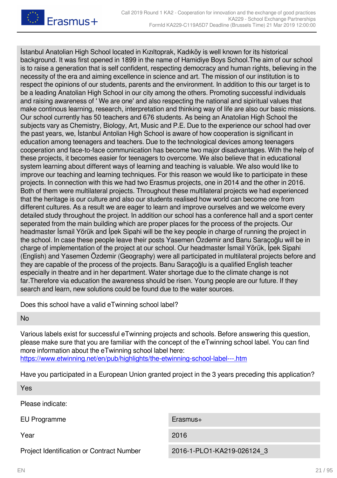

İstanbul Anatolian High School located in Kızıltoprak, Kadıköy is well known for its historical background. It was first opened in 1899 in the name of Hamidiye Boys School.The aim of our school is to raise a generation that is self confident, respecting democracy and human rights, believing in the necessity of the era and aiming excellence in science and art. The mission of our institution is to respect the opinions of our students, parents and the environment. In addition to this our target is to be a leading Anatolian High School in our city among the others. Promoting successful individuals and raising awareness of ' We are one' and also respecting the national and sipiritual values that make continous learning, research, interpretation and thinking way of life are also our basic missions. Our school currently has 50 teachers and 676 students. As being an Anatolian High School the subjects vary as Chemistry, Biology, Art, Music and P.E. Due to the experience our school had over the past years, we, İstanbul Antolian High School is aware of how cooperation is significant in education among teenagers and teachers. Due to the technological devices among teenagers cooperation and face-to-face communication has become two major disadvantages. With the help of these projects, it becomes easier for teenagers to overcome. We also believe that in educational system learning about different ways of learning and teaching is valuable. We also would like to improve our teaching and learning techniques. For this reason we would like to participate in these projects. In connection with this we had two Erasmus projects, one in 2014 and the other in 2016. Both of them were multilateral projects. Throughout these multilateral projects we had experienced that the heritage is our culture and also our students realised how world can become one from different cultures. As a result we are eager to learn and improve ourselves and we welcome every detailed study throughout the project. In addition our school has a conference hall and a sport center seperated from the main building which are proper places for the process of the projects. Our headmaster İsmail Yörük and İpek Sipahi will be the key people in charge of running the project in the school. In case these people leave their posts Yasemen Özdemir and Banu Saraçoğlu will be in charge of implementation of the project at our school. Our headmaster İsmail Yörük, İpek Sipahi (English) and Yasemen Özdemir (Geography) were all participated in multilateral projects before and they are capable of the process of the projects. Banu Saraçoğlu is a qualified English teacher especially in theatre and in her department. Water shortage due to the climate change is not far.Therefore via education the awareness should be risen. Young people are our future. If they search and learn, new solutions could be found due to the water sources.

Does this school have a valid eTwinning school label?

No

Various labels exist for successful eTwinning projects and schools. Before answering this question, please make sure that you are familiar with the concept of the eTwinning school label. You can find more information about the eTwinning school label here: <https://www.etwinning.net/en/pub/highlights/the-etwinning-school-label---.htm>

Have you participated in a European Union granted project in the 3 years preceding this application?

| Yes                                       |                            |
|-------------------------------------------|----------------------------|
| Please indicate:                          |                            |
| EU Programme                              | Erasmus+                   |
| Year                                      | 2016                       |
| Project Identification or Contract Number | 2016-1-PLO1-KA219-026124 3 |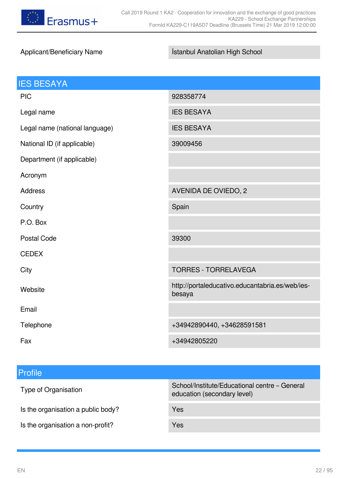

#### Applicant/Beneficiary Name **interpretent in the interpretent Anatolian High School**

| <b>IES BESAYA</b>              |                                                           |
|--------------------------------|-----------------------------------------------------------|
| <b>PIC</b>                     | 928358774                                                 |
| Legal name                     | <b>IES BESAYA</b>                                         |
| Legal name (national language) | <b>IES BESAYA</b>                                         |
| National ID (if applicable)    | 39009456                                                  |
| Department (if applicable)     |                                                           |
| Acronym                        |                                                           |
| <b>Address</b>                 | <b>AVENIDA DE OVIEDO, 2</b>                               |
| Country                        | Spain                                                     |
| P.O. Box                       |                                                           |
| <b>Postal Code</b>             | 39300                                                     |
| <b>CEDEX</b>                   |                                                           |
| City                           | <b>TORRES - TORRELAVEGA</b>                               |
| Website                        | http://portaleducativo.educantabria.es/web/ies-<br>besaya |
| Email                          |                                                           |
| Telephone                      | +34942890440, +34628591581                                |
| Fax                            | +34942805220                                              |

| <b>Profile</b>                     |                                                                              |
|------------------------------------|------------------------------------------------------------------------------|
| <b>Type of Organisation</b>        | School/Institute/Educational centre - General<br>education (secondary level) |
| Is the organisation a public body? | Yes                                                                          |
| Is the organisation a non-profit?  | Yes                                                                          |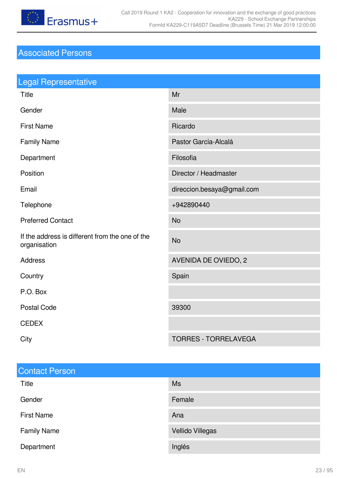

# Associated Persons

| <b>Legal Representative</b>                                     |                             |
|-----------------------------------------------------------------|-----------------------------|
| <b>Title</b>                                                    | Mr                          |
| Gender                                                          | Male                        |
| <b>First Name</b>                                               | Ricardo                     |
| <b>Family Name</b>                                              | Pastor García-Alcalá        |
| Department                                                      | Filosofia                   |
| Position                                                        | Director / Headmaster       |
| Email                                                           | direccion.besaya@gmail.com  |
| Telephone                                                       | +942890440                  |
| <b>Preferred Contact</b>                                        | <b>No</b>                   |
| If the address is different from the one of the<br>organisation | <b>No</b>                   |
| <b>Address</b>                                                  | <b>AVENIDA DE OVIEDO, 2</b> |
| Country                                                         | Spain                       |
| P.O. Box                                                        |                             |
| <b>Postal Code</b>                                              | 39300                       |
| <b>CEDEX</b>                                                    |                             |
| City                                                            | <b>TORRES - TORRELAVEGA</b> |

| <b>Contact Person</b> |                  |
|-----------------------|------------------|
| <b>Title</b>          | <b>Ms</b>        |
| Gender                | Female           |
| <b>First Name</b>     | Ana              |
| <b>Family Name</b>    | Vellido Villegas |
| Department            | Inglés           |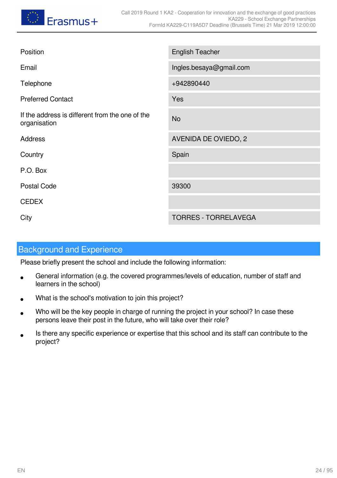

| Position                                                        | <b>English Teacher</b>      |
|-----------------------------------------------------------------|-----------------------------|
| Email                                                           | Ingles.besaya@gmail.com     |
| Telephone                                                       | +942890440                  |
| <b>Preferred Contact</b>                                        | Yes                         |
| If the address is different from the one of the<br>organisation | <b>No</b>                   |
| <b>Address</b>                                                  | <b>AVENIDA DE OVIEDO, 2</b> |
| Country                                                         | Spain                       |
| P.O. Box                                                        |                             |
| <b>Postal Code</b>                                              | 39300                       |
| <b>CEDEX</b>                                                    |                             |
| City                                                            | <b>TORRES - TORRELAVEGA</b> |

## Background and Experience

Please briefly present the school and include the following information:

- General information (e.g. the covered programmes/levels of education, number of staff and learners in the school)
- What is the school's motivation to join this project?
- Who will be the key people in charge of running the project in your school? In case these persons leave their post in the future, who will take over their role?
- Is there any specific experience or expertise that this school and its staff can contribute to the project?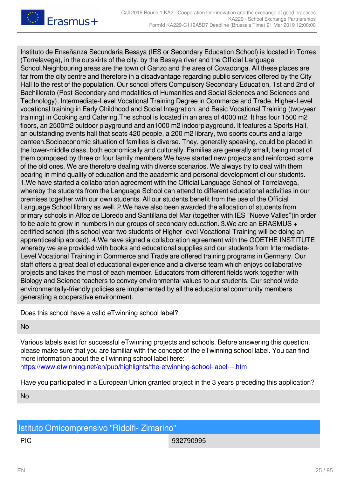

Instituto de Enseñanza Secundaria Besaya (IES or Secondary Education School) is located in Torres (Torrelavega), in the outskirts of the city, by the Besaya river and the Official Language School.Neighbouring areas are the town of Ganzo and the area of Covadonga. All these places are far from the city centre and therefore in a disadvantage regarding public services offered by the City Hall to the rest of the population. Our school offers Compulsory Secondary Education, 1st and 2nd of Bachillerato (Post-Secondary and modalities of Humanities and Social Sciences and Sciences and Technology), Intermediate-Level Vocational Training Degree in Commerce and Trade, Higher-Level vocational training in Early Childhood and Social Integration; and Basic Vocational Training (two-year training) in Cooking and Catering.The school is located in an area of 4000 m2. It has four 1500 m2 floors, an 2500m2 outdoor playground and an1000 m2 indoorplayground. It features a Sports Hall, an outstanding events hall that seats 420 people, a 200 m2 library, two sports courts and a large canteen.Socioeconomic situation of families is diverse. They, generally speaking, could be placed in the lower-middle class, both economically and culturally. Families are generally small, being most of them composed by three or four family members.We have started new projects and reinforced some of the old ones. We are therefore dealing with diverse scenarios. We always try to deal with them bearing in mind quality of education and the academic and personal development of our students. 1.We have started a collaboration agreement with the Official Language School of Torrelavega, whereby the students from the Language School can attend to different educational activities in our premises together with our own students. All our students benefit from the use of the Official Language School library as well. 2.We have also been awarded the allocation of students from primary schools in Alfoz de Lloredo and Santillana del Mar (together with IES "Nueve Valles")in order to be able to grow in numbers in our groups of secondary education. 3. We are an ERASMUS + certified school (this school year two students of Higher-level Vocational Training will be doing an apprenticeship abroad). 4.We have signed a collaboration agreement with the GOETHE INSTITUTE whereby we are provided with books and educational supplies and our students from Intermediate-Level Vocational Training in Commerce and Trade are offered training programs in Germany. Our staff offers a great deal of educational experience and a diverse team which enjoys collaborative projects and takes the most of each member. Educators from different fields work together with Biology and Science teachers to convey environmental values to our students. Our school wide environmentally-friendly policies are implemented by all the educational community members generating a cooperative environment.

Does this school have a valid eTwinning school label?

No

Various labels exist for successful eTwinning projects and schools. Before answering this question, please make sure that you are familiar with the concept of the eTwinning school label. You can find more information about the eTwinning school label here: <https://www.etwinning.net/en/pub/highlights/the-etwinning-school-label---.htm>

Have you participated in a European Union granted project in the 3 years preceding this application?

No

Istituto Omicomprensivo "Ridolfi- Zimarino"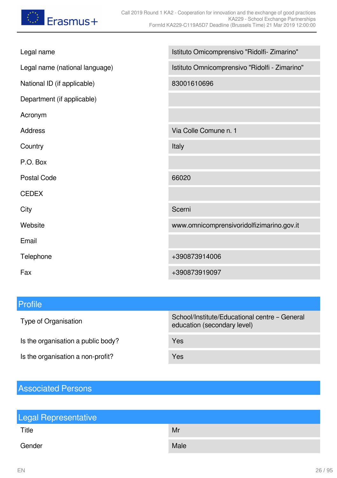

| Legal name                     | Istituto Omicomprensivo "Ridolfi- Zimarino"   |
|--------------------------------|-----------------------------------------------|
| Legal name (national language) | Istituto Omnicomprensivo "Ridolfi - Zimarino" |
| National ID (if applicable)    | 83001610696                                   |
| Department (if applicable)     |                                               |
| Acronym                        |                                               |
| <b>Address</b>                 | Via Colle Comune n. 1                         |
| Country                        | Italy                                         |
| P.O. Box                       |                                               |
| <b>Postal Code</b>             | 66020                                         |
| <b>CEDEX</b>                   |                                               |
| City                           | Scerni                                        |
| Website                        | www.omnicomprensivoridolfizimarino.gov.it     |
| Email                          |                                               |
| Telephone                      | +390873914006                                 |
| Fax                            | +390873919097                                 |

m.

## Profile

| Type of Organisation               | School/Institute/Educational centre - General<br>education (secondary level) |
|------------------------------------|------------------------------------------------------------------------------|
| Is the organisation a public body? | Yes                                                                          |
| Is the organisation a non-profit?  | Yes                                                                          |

# Associated Persons

| <b>Legal Representative</b> |      |
|-----------------------------|------|
| Title                       | Mr   |
| Gender                      | Male |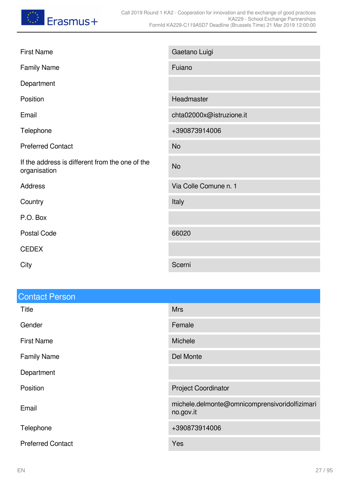

| <b>First Name</b>                                               | Gaetano Luigi            |
|-----------------------------------------------------------------|--------------------------|
| <b>Family Name</b>                                              | Fuiano                   |
| Department                                                      |                          |
| Position                                                        | Headmaster               |
| Email                                                           | chta02000x@istruzione.it |
| Telephone                                                       | +390873914006            |
| <b>Preferred Contact</b>                                        | <b>No</b>                |
| If the address is different from the one of the<br>organisation | <b>No</b>                |
| <b>Address</b>                                                  | Via Colle Comune n. 1    |
| Country                                                         | Italy                    |
| P.O. Box                                                        |                          |
| <b>Postal Code</b>                                              | 66020                    |
| <b>CEDEX</b>                                                    |                          |
| City                                                            | Scerni                   |

| <b>Contact Person</b>    |                                                            |
|--------------------------|------------------------------------------------------------|
| Title                    | <b>Mrs</b>                                                 |
| Gender                   | Female                                                     |
| <b>First Name</b>        | Michele                                                    |
| <b>Family Name</b>       | Del Monte                                                  |
| Department               |                                                            |
| Position                 | <b>Project Coordinator</b>                                 |
| Email                    | michele.delmonte@omnicomprensivoridolfizimari<br>no.gov.it |
| Telephone                | +390873914006                                              |
| <b>Preferred Contact</b> | Yes                                                        |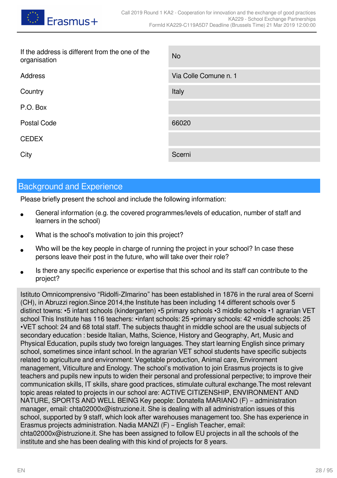

| If the address is different from the one of the<br>organisation | <b>No</b>             |
|-----------------------------------------------------------------|-----------------------|
| <b>Address</b>                                                  | Via Colle Comune n. 1 |
| Country                                                         | Italy                 |
| P.O. Box                                                        |                       |
| <b>Postal Code</b>                                              | 66020                 |
| <b>CEDEX</b>                                                    |                       |
| City                                                            | Scerni                |

## Background and Experience

Please briefly present the school and include the following information:

- General information (e.g. the covered programmes/levels of education, number of staff and learners in the school)
- What is the school's motivation to join this project?
- Who will be the key people in charge of running the project in your school? In case these persons leave their post in the future, who will take over their role?
- Is there any specific experience or expertise that this school and its staff can contribute to the project?

Istituto Omnicomprensivo "Ridolfi-ZImarino" has been established in 1876 in the rural area of Scerni (CH), in Abruzzi region.Since 2014,the Institute has been including 14 different schools over 5 distinct towns: •5 infant schools (kindergarten) •5 primary schools •3 middle schools •1 agrarian VET school This Institute has 116 teachers: •infant schools: 25 •primary schools: 42 •middle schools: 25 •VET school: 24 and 68 total staff. The subjects thaught in middle school are the usual subjects of secondary education : beside Italian, Maths, Science, History and Geography, Art, Music and Physical Education, pupils study two foreign languages. They start learning English since primary school, sometimes since infant school. In the agrarian VET school students have specific subjects related to agriculture and environment: Vegetable production, Animal care, Environment management, Viticulture and Enology. The school's motivation to join Erasmus projects is to give teachers and pupils new inputs to widen their personal and professional perpective; to improve their communication skills, IT skills, share good practices, stimulate cultural exchange.The most relevant topic areas related to projects in our school are: ACTIVE CITIZENSHIP, ENVIRONMENT AND NATURE, SPORTS AND WELL BEING Key people: Donatella MARIANO (F) – administration manager, email: chta02000x@istruzione.it. She is dealing with all administration issues of this school, supported by 9 staff, which look after warehouses management too. She has experience in Erasmus projects administration. Nadia MANZI (F) – English Teacher, email: chta02000x@istruzione.it. She has been assigned to follow EU projects in all the schools of the institute and she has been dealing with this kind of projects for 8 years.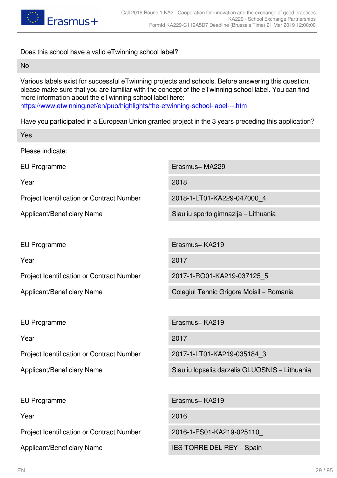

#### Does this school have a valid eTwinning school label?

No

Yes

Various labels exist for successful eTwinning projects and schools. Before answering this question, please make sure that you are familiar with the concept of the eTwinning school label. You can find more information about the eTwinning school label here: <https://www.etwinning.net/en/pub/highlights/the-etwinning-school-label---.htm>

Have you participated in a European Union granted project in the 3 years preceding this application?

| Please indicate:                          |                                                |
|-------------------------------------------|------------------------------------------------|
| EU Programme                              | Erasmus+ MA229                                 |
| Year                                      | 2018                                           |
| Project Identification or Contract Number | 2018-1-LT01-KA229-047000_4                     |
| Applicant/Beneficiary Name                | Siauliu sporto gimnazija - Lithuania           |
|                                           |                                                |
| EU Programme                              | Erasmus+ KA219                                 |
| Year                                      | 2017                                           |
| Project Identification or Contract Number | 2017-1-RO01-KA219-037125_5                     |
| <b>Applicant/Beneficiary Name</b>         | Colegiul Tehnic Grigore Moisil - Romania       |
|                                           |                                                |
| EU Programme                              | Erasmus+ KA219                                 |
| Year                                      | 2017                                           |
| Project Identification or Contract Number | 2017-1-LT01-KA219-035184_3                     |
| Applicant/Beneficiary Name                | Siauliu lopselis darzelis GLUOSNIS - Lithuania |
|                                           |                                                |
| <b>EU Programme</b>                       | Erasmus+ KA219                                 |
| Year                                      | 2016                                           |
| Project Identification or Contract Number | 2016-1-ES01-KA219-025110                       |
| Applicant/Beneficiary Name                | IES TORRE DEL REY - Spain                      |
|                                           |                                                |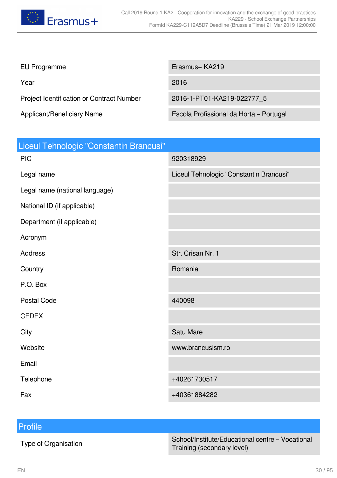

| EU Programme                              | Erasmus+ KA219                          |
|-------------------------------------------|-----------------------------------------|
| Year                                      | 2016                                    |
| Project Identification or Contract Number | 2016-1-PT01-KA219-022777 5              |
| Applicant/Beneficiary Name                | Escola Profissional da Horta - Portugal |

| Liceul Tehnologic "Constantin Brancusi" |                                         |
|-----------------------------------------|-----------------------------------------|
| <b>PIC</b>                              | 920318929                               |
| Legal name                              | Liceul Tehnologic "Constantin Brancusi" |
| Legal name (national language)          |                                         |
| National ID (if applicable)             |                                         |
| Department (if applicable)              |                                         |
| Acronym                                 |                                         |
| <b>Address</b>                          | Str. Crisan Nr. 1                       |
| Country                                 | Romania                                 |
| P.O. Box                                |                                         |
| <b>Postal Code</b>                      | 440098                                  |
| <b>CEDEX</b>                            |                                         |
| City                                    | <b>Satu Mare</b>                        |
| Website                                 | www.brancusism.ro                       |
| Email                                   |                                         |
| Telephone                               | +40261730517                            |
| Fax                                     | +40361884282                            |

## Profile

Type of Organisation School/Institute/Educational centre – Vocational<br>
Training (secondary lovel) Training (secondary level)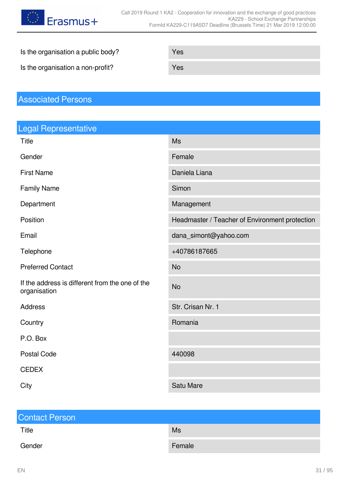

| Is the organisation a public body? | Yes |
|------------------------------------|-----|
| Is the organisation a non-profit?  | Yes |

# Associated Persons

| Legal Representative                                            |                                                |
|-----------------------------------------------------------------|------------------------------------------------|
| Title                                                           | <b>Ms</b>                                      |
| Gender                                                          | Female                                         |
| <b>First Name</b>                                               | Daniela Liana                                  |
| <b>Family Name</b>                                              | Simon                                          |
| Department                                                      | Management                                     |
| Position                                                        | Headmaster / Teacher of Environment protection |
| Email                                                           | dana_simont@yahoo.com                          |
| Telephone                                                       | +40786187665                                   |
| <b>Preferred Contact</b>                                        | <b>No</b>                                      |
| If the address is different from the one of the<br>organisation | <b>No</b>                                      |
| <b>Address</b>                                                  | Str. Crisan Nr. 1                              |
| Country                                                         | Romania                                        |
| P.O. Box                                                        |                                                |
| <b>Postal Code</b>                                              | 440098                                         |
| <b>CEDEX</b>                                                    |                                                |
| City                                                            | <b>Satu Mare</b>                               |

| <b>Contact Person</b> |           |
|-----------------------|-----------|
| Title                 | <b>Ms</b> |
| Gender                | Female    |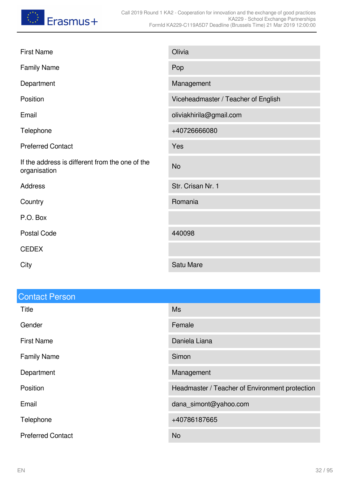

| <b>First Name</b>                                               | Olivia                              |
|-----------------------------------------------------------------|-------------------------------------|
| <b>Family Name</b>                                              | Pop                                 |
| Department                                                      | Management                          |
| Position                                                        | Viceheadmaster / Teacher of English |
| Email                                                           | oliviakhirila@gmail.com             |
| Telephone                                                       | +40726666080                        |
| <b>Preferred Contact</b>                                        | Yes                                 |
| If the address is different from the one of the<br>organisation | <b>No</b>                           |
| <b>Address</b>                                                  | Str. Crisan Nr. 1                   |
| Country                                                         | Romania                             |
| P.O. Box                                                        |                                     |
| <b>Postal Code</b>                                              | 440098                              |
| <b>CEDEX</b>                                                    |                                     |
| City                                                            | <b>Satu Mare</b>                    |

| <b>Contact Person</b>    |                                                |
|--------------------------|------------------------------------------------|
| <b>Title</b>             | <b>Ms</b>                                      |
| Gender                   | Female                                         |
| <b>First Name</b>        | Daniela Liana                                  |
| <b>Family Name</b>       | Simon                                          |
| Department               | Management                                     |
| Position                 | Headmaster / Teacher of Environment protection |
| Email                    | dana_simont@yahoo.com                          |
| Telephone                | +40786187665                                   |
| <b>Preferred Contact</b> | <b>No</b>                                      |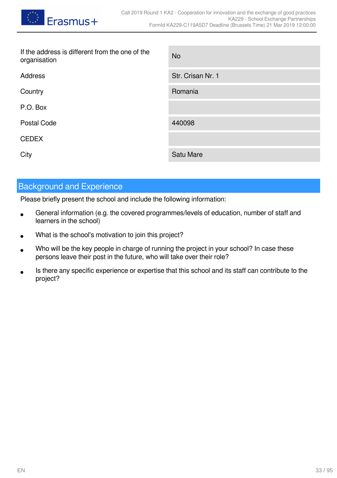

| If the address is different from the one of the<br>organisation | <b>No</b>         |
|-----------------------------------------------------------------|-------------------|
| <b>Address</b>                                                  | Str. Crisan Nr. 1 |
| Country                                                         | Romania           |
| P.O. Box                                                        |                   |
| <b>Postal Code</b>                                              | 440098            |
| <b>CEDEX</b>                                                    |                   |
| City                                                            | <b>Satu Mare</b>  |

## Background and Experience

Please briefly present the school and include the following information:

- General information (e.g. the covered programmes/levels of education, number of staff and learners in the school)
- What is the school's motivation to join this project?
- Who will be the key people in charge of running the project in your school? In case these persons leave their post in the future, who will take over their role?
- Is there any specific experience or expertise that this school and its staff can contribute to the project?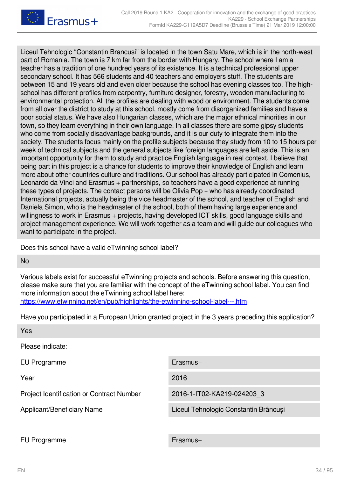

Liceul Tehnologic "Constantin Brancusi" is located in the town Satu Mare, which is in the north-west part of Romania. The town is 7 km far from the border with Hungary. The school where I am a teacher has a tradition of one hundred years of its existence. It is a technical professional upper secondary school. It has 566 students and 40 teachers and employers stuff. The students are between 15 and 19 years old and even older because the school has evening classes too. The highschool has different profiles from carpentry, furniture designer, forestry, wooden manufacturing to environmental protection. All the profiles are dealing with wood or environment. The students come from all over the district to study at this school, mostly come from disorganized families and have a poor social status. We have also Hungarian classes, which are the major ethnical minorities in our town, so they learn everything in their own language. In all classes there are some gipsy students who come from socially disadvantage backgrounds, and it is our duty to integrate them into the society. The students focus mainly on the profile subjects because they study from 10 to 15 hours per week of technical subjects and the general subjects like foreign languages are left aside. This is an important opportunity for them to study and practice English language in real context. I believe that being part in this project is a chance for students to improve their knowledge of English and learn more about other countries culture and traditions. Our school has already participated in Comenius, Leonardo da Vinci and Erasmus + partnerships, so teachers have a good experience at running these types of projects. The contact persons will be Olivia Pop – who has already coordinated International projects, actually being the vice headmaster of the school, and teacher of English and Daniela Simon, who is the headmaster of the school, both of them having large experience and willingness to work in Erasmus + projects, having developed ICT skills, good language skills and project management experience. We will work together as a team and will guide our colleagues who want to participate in the project.

Does this school have a valid eTwinning school label?

EU Programme Erasmus+

No

Various labels exist for successful eTwinning projects and schools. Before answering this question, please make sure that you are familiar with the concept of the eTwinning school label. You can find more information about the eTwinning school label here: <https://www.etwinning.net/en/pub/highlights/the-etwinning-school-label---.htm>

Have you participated in a European Union granted project in the 3 years preceding this application?

| <b>Yes</b>                                |                                       |
|-------------------------------------------|---------------------------------------|
| Please indicate:                          |                                       |
| EU Programme                              | Erasmus+                              |
| Year                                      | 2016                                  |
| Project Identification or Contract Number | 2016-1-IT02-KA219-024203 3            |
| Applicant/Beneficiary Name                | Liceul Tehnologic Constantin Brâncuși |
|                                           |                                       |
|                                           |                                       |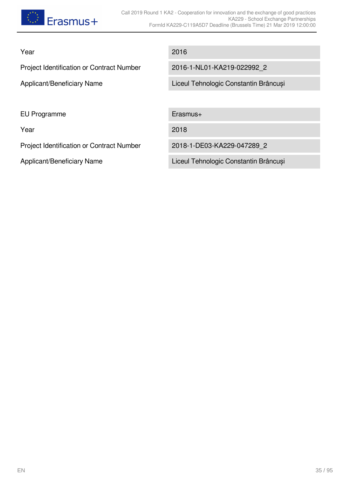

| Year                                      | 2016                                  |
|-------------------------------------------|---------------------------------------|
| Project Identification or Contract Number | 2016-1-NL01-KA219-022992 2            |
| Applicant/Beneficiary Name                | Liceul Tehnologic Constantin Brâncuși |
|                                           |                                       |
| EU Programme                              | $E$ rasmus+                           |
| Year                                      | 2018                                  |
| Project Identification or Contract Number | 2018-1-DE03-KA229-047289 2            |
| Applicant/Beneficiary Name                | Liceul Tehnologic Constantin Brâncuși |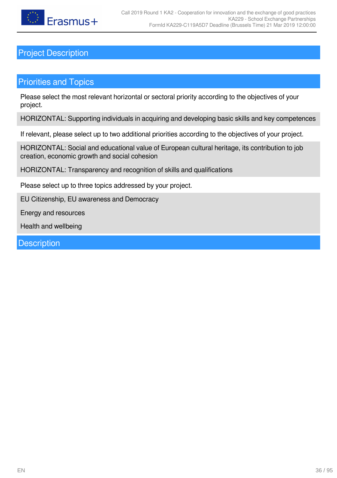

#### Project Description

#### Priorities and Topics

Please select the most relevant horizontal or sectoral priority according to the objectives of your project.

HORIZONTAL: Supporting individuals in acquiring and developing basic skills and key competences

If relevant, please select up to two additional priorities according to the objectives of your project.

HORIZONTAL: Social and educational value of European cultural heritage, its contribution to job creation, economic growth and social cohesion

HORIZONTAL: Transparency and recognition of skills and qualifications

Please select up to three topics addressed by your project.

EU Citizenship, EU awareness and Democracy

Energy and resources

Health and wellbeing

**Description**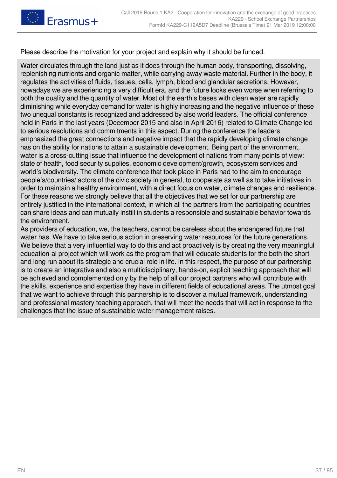

Please describe the motivation for your project and explain why it should be funded.

Water circulates through the land just as it does through the human body, transporting, dissolving, replenishing nutrients and organic matter, while carrying away waste material. Further in the body, it regulates the activities of fluids, tissues, cells, lymph, blood and glandular secretions. However, nowadays we are experiencing a very difficult era, and the future looks even worse when referring to both the quality and the quantity of water. Most of the earth's bases with clean water are rapidly diminishing while everyday demand for water is highly increasing and the negative influence of these two unequal constants is recognized and addressed by also world leaders. The official conference held in Paris in the last years (December 2015 and also in April 2016) related to Climate Change led to serious resolutions and commitments in this aspect. During the conference the leaders emphasized the great connections and negative impact that the rapidly developing climate change has on the ability for nations to attain a sustainable development. Being part of the environment, water is a cross-cutting issue that influence the development of nations from many points of view: state of health, food security supplies, economic development/growth, ecosystem services and world's biodiversity. The climate conference that took place in Paris had to the aim to encourage people's/countries/ actors of the civic society in general, to cooperate as well as to take initiatives in order to maintain a healthy environment, with a direct focus on water, climate changes and resilience. For these reasons we strongly believe that all the objectives that we set for our partnership are entirely justified in the international context, in which all the partners from the participating countries can share ideas and can mutually instill in students a responsible and sustainable behavior towards the environment.

As providers of education, we, the teachers, cannot be careless about the endangered future that water has. We have to take serious action in preserving water resources for the future generations. We believe that a very influential way to do this and act proactively is by creating the very meaningful education-al project which will work as the program that will educate students for the both the short and long run about its strategic and crucial role in life. In this respect, the purpose of our partnership is to create an integrative and also a multidisciplinary, hands-on, explicit teaching approach that will be achieved and complemented only by the help of all our project partners who will contribute with the skills, experience and expertise they have in different fields of educational areas. The utmost goal that we want to achieve through this partnership is to discover a mutual framework, understanding and professional mastery teaching approach, that will meet the needs that will act in response to the challenges that the issue of sustainable water management raises.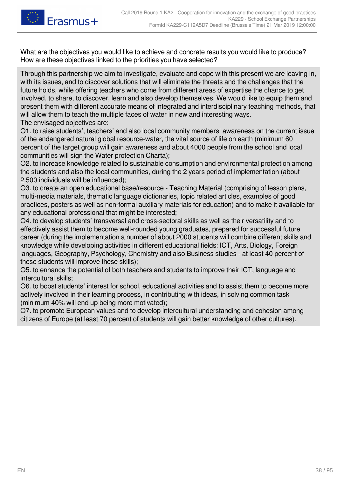

What are the objectives you would like to achieve and concrete results you would like to produce? How are these objectives linked to the priorities you have selected?

Through this partnership we aim to investigate, evaluate and cope with this present we are leaving in, with its issues, and to discover solutions that will eliminate the threats and the challenges that the future holds, while offering teachers who come from different areas of expertise the chance to get involved, to share, to discover, learn and also develop themselves. We would like to equip them and present them with different accurate means of integrated and interdisciplinary teaching methods, that will allow them to teach the multiple faces of water in new and interesting ways. The envisaged objectives are:

O1. to raise students', teachers' and also local community members' awareness on the current issue of the endangered natural global resource-water, the vital source of life on earth (minimum 60 percent of the target group will gain awareness and about 4000 people from the school and local communities will sign the Water protection Charta);

O2. to increase knowledge related to sustainable consumption and environmental protection among the students and also the local communities, during the 2 years period of implementation (about 2.500 individuals will be influenced);

O3. to create an open educational base/resource - Teaching Material (comprising of lesson plans, multi-media materials, thematic language dictionaries, topic related articles, examples of good practices, posters as well as non-formal auxiliary materials for education) and to make it available for any educational professional that might be interested;

O4. to develop students' transversal and cross-sectoral skills as well as their versatility and to effectively assist them to become well-rounded young graduates, prepared for successful future career (during the implementation a number of about 2000 students will combine different skills and knowledge while developing activities in different educational fields: ICT, Arts, Biology, Foreign languages, Geography, Psychology, Chemistry and also Business studies - at least 40 percent of these students will improve these skills);

O5. to enhance the potential of both teachers and students to improve their ICT, language and intercultural skills;

O6. to boost students' interest for school, educational activities and to assist them to become more actively involved in their learning process, in contributing with ideas, in solving common task (minimum 40% will end up being more motivated);

O7. to promote European values and to develop intercultural understanding and cohesion among citizens of Europe (at least 70 percent of students will gain better knowledge of other cultures).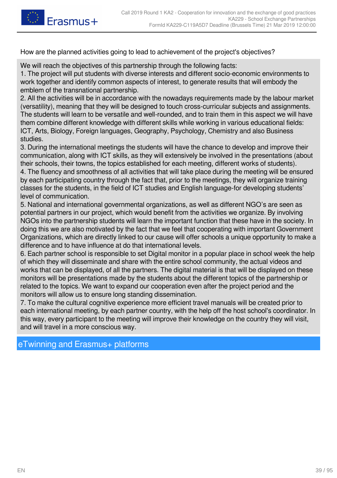

How are the planned activities going to lead to achievement of the project's objectives?

We will reach the objectives of this partnership through the following facts:

1. The project will put students with diverse interests and different socio-economic environments to work together and identify common aspects of interest, to generate results that will embody the emblem of the transnational partnership.

2. All the activities will be in accordance with the nowadays requirements made by the labour market (versatility), meaning that they will be designed to touch cross-curricular subjects and assignments. The students will learn to be versatile and well-rounded, and to train them in this aspect we will have them combine different knowledge with different skills while working in various educational fields: ICT, Arts, Biology, Foreign languages, Geography, Psychology, Chemistry and also Business studies.

3. During the international meetings the students will have the chance to develop and improve their communication, along with ICT skills, as they will extensively be involved in the presentations (about their schools, their towns, the topics established for each meeting, different works of students). 4. The fluency and smoothness of all activities that will take place during the meeting will be ensured by each participating country through the fact that, prior to the meetings, they will organize training classes for the students, in the field of ICT studies and English language-for developing students'

level of communication.

5. National and international governmental organizations, as well as different NGO's are seen as potential partners in our project, which would benefit from the activities we organize. By involving NGOs into the partnership students will learn the important function that these have in the society. In doing this we are also motivated by the fact that we feel that cooperating with important Government Organizations, which are directly linked to our cause will offer schools a unique opportunity to make a difference and to have influence at do that international levels.

6. Each partner school is responsible to set Digital monitor in a popular place in school week the help of which they will disseminate and share with the entire school community, the actual videos and works that can be displayed, of all the partners. The digital material is that will be displayed on these monitors will be presentations made by the students about the different topics of the partnership or related to the topics. We want to expand our cooperation even after the project period and the monitors will allow us to ensure long standing dissemination.

7. To make the cultural cognitive experience more efficient travel manuals will be created prior to each international meeting, by each partner country, with the help off the host school's coordinator. In this way, every participant to the meeting will improve their knowledge on the country they will visit, and will travel in a more conscious way.

eTwinning and Erasmus+ platforms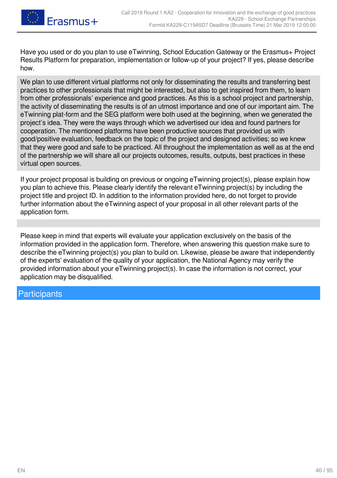

Have you used or do you plan to use eTwinning, School Education Gateway or the Erasmus+ Project Results Platform for preparation, implementation or follow-up of your project? If yes, please describe how.

We plan to use different virtual platforms not only for disseminating the results and transferring best practices to other professionals that might be interested, but also to get inspired from them, to learn from other professionals' experience and good practices. As this is a school project and partnership, the activity of disseminating the results is of an utmost importance and one of our important aim. The eTwinning plat-form and the SEG platform were both used at the beginning, when we generated the project's idea. They were the ways through which we advertised our idea and found partners for cooperation. The mentioned platforms have been productive sources that provided us with good/positive evaluation, feedback on the topic of the project and designed activities; so we knew that they were good and safe to be practiced. All throughout the implementation as well as at the end of the partnership we will share all our projects outcomes, results, outputs, best practices in these virtual open sources.

If your project proposal is building on previous or ongoing eTwinning project(s), please explain how you plan to achieve this. Please clearly identify the relevant eTwinning project(s) by including the project title and project ID. In addition to the information provided here, do not forget to provide further information about the eTwinning aspect of your proposal in all other relevant parts of the application form.

Please keep in mind that experts will evaluate your application exclusively on the basis of the information provided in the application form. Therefore, when answering this question make sure to describe the eTwinning project(s) you plan to build on. Likewise, please be aware that independently of the experts' evaluation of the quality of your application, the National Agency may verify the provided information about your eTwinning project(s). In case the information is not correct, your application may be disqualified.

### Participants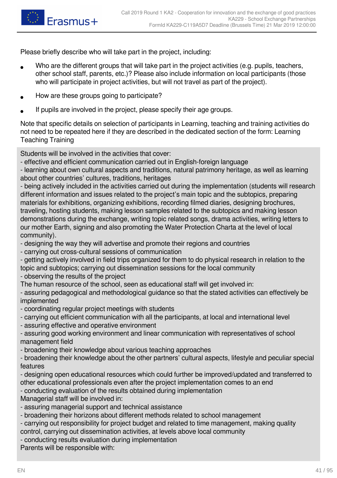Please briefly describe who will take part in the project, including:

- Who are the different groups that will take part in the project activities (e.g. pupils, teachers, other school staff, parents, etc.)? Please also include information on local participants (those who will participate in project activities, but will not travel as part of the project).
- How are these groups going to participate?

Erasmus+

If pupils are involved in the project, please specify their age groups.

Note that specific details on selection of participants in Learning, teaching and training activities do not need to be repeated here if they are described in the dedicated section of the form: Learning Teaching Training

Students will be involved in the activities that cover:

- effective and efficient communication carried out in English-foreign language

- learning about own cultural aspects and traditions, natural patrimony heritage, as well as learning about other countries' cultures, traditions, heritages

- being actively included in the activities carried out during the implementation (students will research different information and issues related to the project's main topic and the subtopics, preparing materials for exhibitions, organizing exhibitions, recording filmed diaries, designing brochures, traveling, hosting students, making lesson samples related to the subtopics and making lesson demonstrations during the exchange, writing topic related songs, drama activities, writing letters to our mother Earth, signing and also promoting the Water Protection Charta at the level of local community).

- designing the way they will advertise and promote their regions and countries

- carrying out cross-cultural sessions of communication

- getting actively involved in field trips organized for them to do physical research in relation to the topic and subtopics; carrying out dissemination sessions for the local community

- observing the results of the project

The human resource of the school, seen as educational staff will get involved in:

- assuring pedagogical and methodological guidance so that the stated activities can effectively be implemented

- coordinating regular project meetings with students
- carrying out efficient communication with all the participants, at local and international level
- assuring effective and operative environment

- assuring good working environment and linear communication with representatives of school management field

- broadening their knowledge about various teaching approaches

- broadening their knowledge about the other partners' cultural aspects, lifestyle and peculiar special features

- designing open educational resources which could further be improved/updated and transferred to other educational professionals even after the project implementation comes to an end

- conducting evaluation of the results obtained during implementation

Managerial staff will be involved in:

- assuring managerial support and technical assistance
- broadening their horizons about different methods related to school management
- carrying out responsibility for project budget and related to time management, making quality control, carrying out dissemination activities, at levels above local community
- conducting results evaluation during implementation

Parents will be responsible with: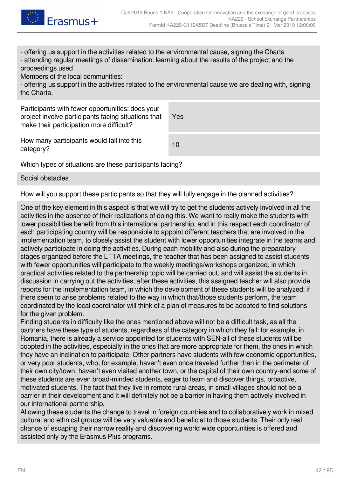

- offering us support in the activities related to the environmental cause, signing the Charta - attending regular meetings of dissemination: learning about the results of the project and the proceedings used

Members of the local communities:

- offering us support in the activities related to the environmental cause we are dealing with, signing the Charta.

| Participants with fewer opportunities: does your<br>project involve participants facing situations that<br>make their participation more difficult? | Yes |  |
|-----------------------------------------------------------------------------------------------------------------------------------------------------|-----|--|
| How many participants would fall into this<br>category?                                                                                             | 10  |  |
| Which types of situations are these participants facing?                                                                                            |     |  |

Social obstacles

How will you support these participants so that they will fully engage in the planned activities?

One of the key element in this aspect is that we will try to get the students actively involved in all the activities in the absence of their realizations of doing this. We want to really make the students with lower possibilities benefit from this international partnership, and in this respect each coordinator of each participating country will be responsible to appoint different teachers that are involved in the implementation team, to closely assist the student with lower opportunities integrate in the teams and actively participate in doing the activities. During each mobility and also during the preparatory stages organized before the LTTA meetings, the teacher that has been assigned to assist students with fewer opportunities will participate to the weekly meetings/workshops organized, in which practical activities related to the partnership topic will be carried out, and will assist the students in discussion in carrying out the activities; after these activities, this assigned teacher will also provide reports for the implementation team, in which the development of these students will be analyzed; if there seem to arise problems related to the way in which that/those students perform, the team coordinated by the local coordinator will think of a plan of measures to be adopted to find solutions for the given problem.

Finding students in difficulty like the ones mentioned above will not be a difficult task, as all the partners have these type of students, regardless of the category in which they fall: for example, in Romania, there is already a service appointed for students with SEN-all of these students will be coopted in the activities, especially in the ones that are more appropriate for them, the ones in which they have an inclination to participate. Other partners have students with few economic opportunities, or very poor students, who, for example, haven't even once traveled further than in the perimeter of their own city/town, haven't even visited another town, or the capital of their own country-and some of these students are even broad-minded students, eager to learn and discover things, proactive, motivated students. The fact that they live in remote rural areas, in small villages should not be a barrier in their development and it will definitely not be a barrier in having them actively involved in our international partnership.

Allowing these students the change to travel in foreign countries and to collaboratively work in mixed cultural and ethnical groups will be very valuable and beneficial to those students. Their only real chance of escaping their narrow reality and discovering world wide opportunities is offered and assisted only by the Erasmus Plus programs.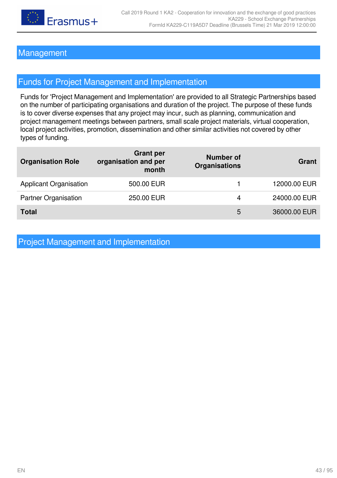

### Management

### Funds for Project Management and Implementation

Funds for 'Project Management and Implementation' are provided to all Strategic Partnerships based on the number of participating organisations and duration of the project. The purpose of these funds is to cover diverse expenses that any project may incur, such as planning, communication and project management meetings between partners, small scale project materials, virtual cooperation, local project activities, promotion, dissemination and other similar activities not covered by other types of funding.

| <b>Organisation Role</b>      | <b>Grant per</b><br>organisation and per<br>month | <b>Number of</b><br><b>Organisations</b> | Grant        |
|-------------------------------|---------------------------------------------------|------------------------------------------|--------------|
| <b>Applicant Organisation</b> | 500.00 EUR                                        |                                          | 12000.00 EUR |
| <b>Partner Organisation</b>   | 250.00 EUR                                        | 4                                        | 24000.00 EUR |
| <b>Total</b>                  |                                                   | 5                                        | 36000.00 EUR |

Project Management and Implementation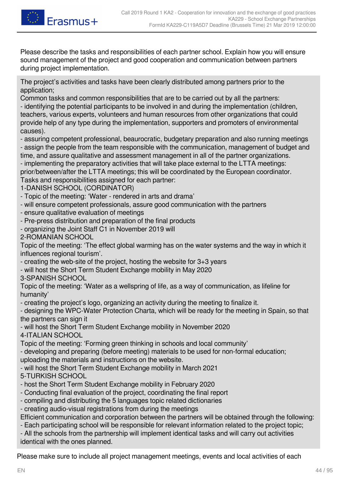

Please describe the tasks and responsibilities of each partner school. Explain how you will ensure sound management of the project and good cooperation and communication between partners during project implementation.

The project's activities and tasks have been clearly distributed among partners prior to the application;

Common tasks and common responsibilities that are to be carried out by all the partners: - identifying the potential participants to be involved in and during the implementation (children, teachers, various experts, volunteers and human resources from other organizations that could provide help of any type during the implementation, supporters and promoters of environmental causes).

- assuring competent professional, beaurocratic, budgetary preparation and also running meetings - assign the people from the team responsible with the communication, management of budget and time, and assure qualitative and assessment management in all of the partner organizations.

- implementing the preparatory activities that will take place external to the LTTA meetings:

prior/between/after the LTTA meetings; this will be coordinated by the European coordinator. Tasks and responsibilities assigned for each partner:

- 1-DANISH SCHOOL (CORDINATOR)
- Topic of the meeting: 'Water rendered in arts and drama'
- will ensure competent professionals, assure good communication with the partners
- ensure qualitative evaluation of meetings
- Pre-press distribution and preparation of the final products
- organizing the Joint Staff C1 in November 2019 will

2-ROMANIAN SCHOOL

Topic of the meeting: 'The effect global warming has on the water systems and the way in which it influences regional tourism'.

- creating the web-site of the project, hosting the website for 3+3 years

- will host the Short Term Student Exchange mobility in May 2020

3-SPANISH SCHOOL

Topic of the meeting: 'Water as a wellspring of life, as a way of communication, as lifeline for humanity'

- creating the project's logo, organizing an activity during the meeting to finalize it.

- designing the WPC-Water Protection Charta, which will be ready for the meeting in Spain, so that the partners can sign it

- will host the Short Term Student Exchange mobility in November 2020

4-ITALIAN SCHOOL

Topic of the meeting: 'Forming green thinking in schools and local community'

- developing and preparing (before meeting) materials to be used for non-formal education; uploading the materials and instructions on the website.

- will host the Short Term Student Exchange mobility in March 2021

5-TURKISH SCHOOL

- host the Short Term Student Exchange mobility in February 2020
- Conducting final evaluation of the project, coordinating the final report
- compiling and distributing the 5 languages topic related dictionaries

- creating audio-visual registrations from during the meetings

Efficient communication and corporation between the partners will be obtained through the following:

- Each participating school will be responsible for relevant information related to the project topic;

- All the schools from the partnership will implement identical tasks and will carry out activities identical with the ones planned.

Please make sure to include all project management meetings, events and local activities of each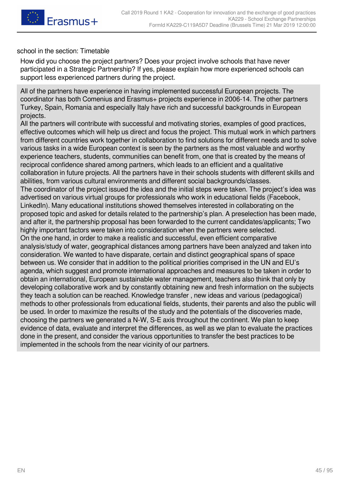

Erasmus+

school in the section: Timetable

How did you choose the project partners? Does your project involve schools that have never participated in a Strategic Partnership? If yes, please explain how more experienced schools can support less experienced partners during the project.

All of the partners have experience in having implemented successful European projects. The coordinator has both Comenius and Erasmus+ projects experience in 2006-14. The other partners Turkey, Spain, Romania and especially Italy have rich and successful backgrounds in European projects.

All the partners will contribute with successful and motivating stories, examples of good practices, effective outcomes which will help us direct and focus the project. This mutual work in which partners from different countries work together in collaboration to find solutions for different needs and to solve various tasks in a wide European context is seen by the partners as the most valuable and worthy experience teachers, students, communities can benefit from, one that is created by the means of reciprocal confidence shared among partners, which leads to an efficient and a qualitative collaboration in future projects. All the partners have in their schools students with different skills and abilities, from various cultural environments and different social backgrounds/classes. The coordinator of the project issued the idea and the initial steps were taken. The project's idea was advertised on various virtual groups for professionals who work in educational fields (Facebook, LinkedIn). Many educational institutions showed themselves interested in collaborating on the proposed topic and asked for details related to the partnership's plan. A preselection has been made, and after it, the partnership proposal has been forwarded to the current candidates/applicants; Two highly important factors were taken into consideration when the partners were selected. On the one hand, in order to make a realistic and successful, even efficient comparative analysis/study of water, geographical distances among partners have been analyzed and taken into consideration. We wanted to have disparate, certain and distinct geographical spans of space between us. We consider that in addition to the political priorities comprised in the UN and EU's agenda, which suggest and promote international approaches and measures to be taken in order to obtain an international, European sustainable water management, teachers also think that only by developing collaborative work and by constantly obtaining new and fresh information on the subjects they teach a solution can be reached. Knowledge transfer , new ideas and various (pedagogical) methods to other professionals from educational fields, students, their parents and also the public will be used. In order to maximize the results of the study and the potentials of the discoveries made, choosing the partners we generated a N-W, S-E axis throughout the continent. We plan to keep evidence of data, evaluate and interpret the differences, as well as we plan to evaluate the practices done in the present, and consider the various opportunities to transfer the best practices to be implemented in the schools from the near vicinity of our partners.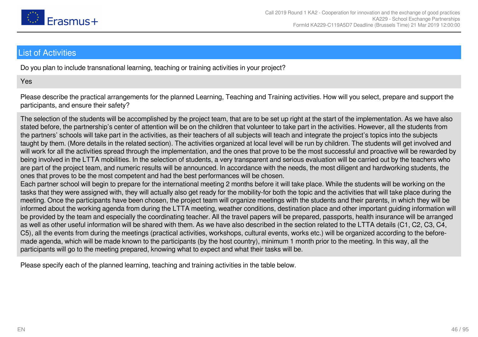

### List of Activities

Do you plan to include transnational learning, teaching or training activities in your project?

Yes

Please describe the practical arrangements for the planned Learning, Teaching and Training activities. How will you select, prepare and support theparticipants, and ensure their safety?

The selection of the students will be accomplished by the project team, that are to be set up right at the start of the implementation. As we have alsostated before, the partnership's center of attention will be on the children that volunteer to take part in the activities. However, all the students fromthe partners' schools will take part in the activities, as their teachers of all subjects will teach and integrate the project's topics into the subjects taught by them. (More details in the related section). The activities organized at local level will be run by children. The students will get involved and will work for all the activities spread through the implementation, and the ones that prove to be the most successful and proactive will be rewarded bybeing involved in the LTTA mobilities. In the selection of students, a very transparent and serious evaluation will be carried out by the teachers who are part of the project team, and numeric results will be announced. In accordance with the needs, the most diligent and hardworking students, theones that proves to be the most competent and had the best performances will be chosen.

 Each partner school will begin to prepare for the international meeting 2 months before it will take place. While the students will be working on the tasks that they were assigned with, they will actually also get ready for the mobility-for both the topic and the activities that will take place during the meeting. Once the participants have been chosen, the project team will organize meetings with the students and their parents, in which they will be informed about the working agenda from during the LTTA meeting, weather conditions, destination place and other important guiding information will be provided by the team and especially the coordinating teacher. All the travel papers will be prepared, passports, health insurance will be arrangedas well as other useful information will be shared with them. As we have also described in the section related to the LTTA details (C1, C2, C3, C4,C5), all the events from during the meetings (practical activities, workshops, cultural events, works etc.) will be organized according to the beforemade agenda, which will be made known to the participants (by the host country), minimum 1 month prior to the meeting. In this way, all theparticipants will go to the meeting prepared, knowing what to expect and what their tasks will be.

Please specify each of the planned learning, teaching and training activities in the table below.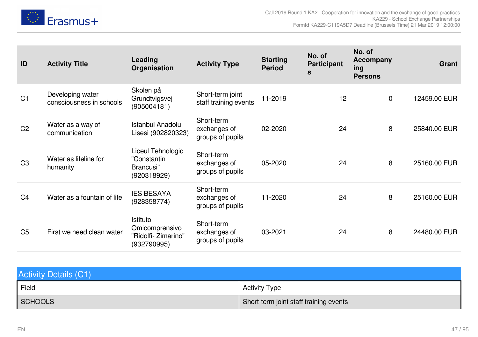

| ID             | <b>Activity Title</b>                        | Leading<br>Organisation                                          | <b>Activity Type</b>                           | <b>Starting</b><br><b>Period</b> | No. of<br><b>Participant</b><br>S | No. of<br><b>Accompany</b><br>ing<br><b>Persons</b> | Grant        |
|----------------|----------------------------------------------|------------------------------------------------------------------|------------------------------------------------|----------------------------------|-----------------------------------|-----------------------------------------------------|--------------|
| C <sub>1</sub> | Developing water<br>consciousness in schools | Skolen på<br>Grundtvigsvej<br>(905004181)                        | Short-term joint<br>staff training events      | 11-2019                          | 12                                | $\overline{0}$                                      | 12459.00 EUR |
| C <sub>2</sub> | Water as a way of<br>communication           | Istanbul Anadolu<br>Lisesi (902820323)                           | Short-term<br>exchanges of<br>groups of pupils | 02-2020                          | 24                                | 8                                                   | 25840.00 EUR |
| C <sub>3</sub> | Water as lifeline for<br>humanity            | Liceul Tehnologic<br>"Constantin<br>Brancusi"<br>(920318929)     | Short-term<br>exchanges of<br>groups of pupils | 05-2020                          | 24                                | 8                                                   | 25160.00 EUR |
| C <sub>4</sub> | Water as a fountain of life                  | <b>IES BESAYA</b><br>(928358774)                                 | Short-term<br>exchanges of<br>groups of pupils | 11-2020                          | 24                                | 8                                                   | 25160.00 EUR |
| C <sub>5</sub> | First we need clean water                    | Istituto<br>Omicomprensivo<br>"Ridolfi- Zimarino"<br>(932790995) | Short-term<br>exchanges of<br>groups of pupils | 03-2021                          | 24                                | 8                                                   | 24480.00 EUR |

| <b>Activity Details (C1)</b> |                                        |
|------------------------------|----------------------------------------|
| Field                        | <b>Activity Type</b>                   |
| <b>SCHOOLS</b>               | Short-term joint staff training events |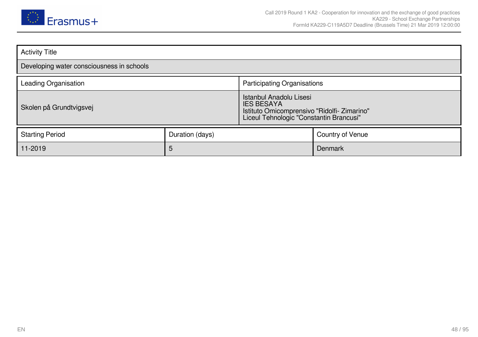

| <b>Activity Title</b>                               |                 |                                                                                                                                        |                  |
|-----------------------------------------------------|-----------------|----------------------------------------------------------------------------------------------------------------------------------------|------------------|
| Developing water consciousness in schools           |                 |                                                                                                                                        |                  |
| Leading Organisation<br>Participating Organisations |                 |                                                                                                                                        |                  |
| Skolen på Grundtvigsvej                             |                 | Istanbul Anadolu Lisesi<br><b>IES BESAYA</b><br>Istituto Omicomprensivo "Ridolfi- Zimarino"<br>Liceul Tehnologic "Constantin Brancusi" |                  |
| <b>Starting Period</b>                              | Duration (days) |                                                                                                                                        | Country of Venue |
| 11-2019                                             | 5               |                                                                                                                                        | <b>Denmark</b>   |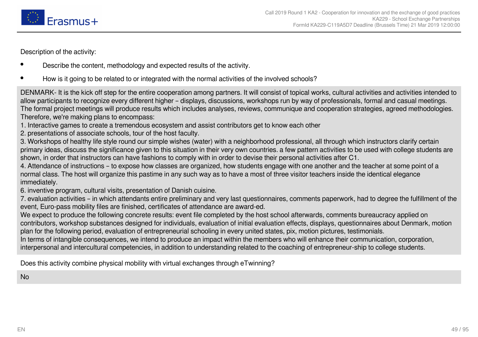

Description of the activity:

- ●Describe the content, methodology and expected results of the activity.
- ●How is it going to be related to or integrated with the normal activities of the involved schools?

DENMARK- It is the kick off step for the entire cooperation among partners. It will consist of topical works, cultural activities and activities intended toallow participants to recognize every different higher – displays, discussions, workshops run by way of professionals, formal and casual meetings. The formal project meetings will produce results which includes analyses, reviews, communique and cooperation strategies, agreed methodologies.Therefore, we're making plans to encompass:

1. Interactive games to create a tremendous ecosystem and assist contributors get to know each other

2. presentations of associate schools, tour of the host faculty.

3. Workshops of healthy life style round our simple wishes (water) with a neighborhood professional, all through which instructors clarify certain primary ideas, discuss the significance given to this situation in their very own countries. a few pattern activities to be used with college students areshown, in order that instructors can have fashions to comply with in order to devise their personal activities after C1.

 4. Attendance of instructions – to expose how classes are organized, how students engage with one another and the teacher at some point of anormal class. The host will organize this pastime in any such way as to have a most of three visitor teachers inside the identical eleganceimmediately.

6. inventive program, cultural visits, presentation of Danish cuisine.

 7. evaluation activities – in which attendants entire preliminary and very last questionnaires, comments paperwork, had to degree the fulfillment of theevent, Euro-pass mobility files are finished, certificates of attendance are award-ed.

 We expect to produce the following concrete results: event file completed by the host school afterwards, comments bureaucracy applied on contributors, workshop substances designed for individuals, evaluation of initial evaluation effects, displays, questionnaires about Denmark, motionplan for the following period, evaluation of entrepreneurial schooling in every united states, pix, motion pictures, testimonials.

In terms of intangible consequences, we intend to produce an impact within the members who will enhance their communication, corporation, interpersonal and intercultural competencies, in addition to understanding related to the coaching of entrepreneur-ship to college students.

Does this activity combine physical mobility with virtual exchanges through eTwinning?

No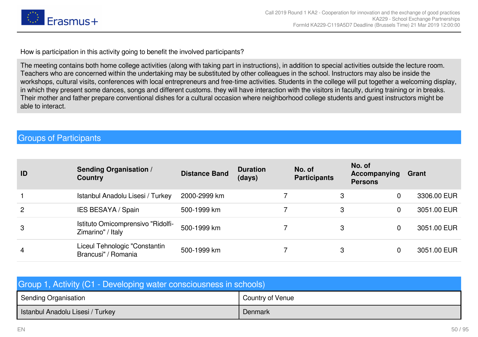

How is participation in this activity going to benefit the involved participants?

The meeting contains both home college activities (along with taking part in instructions), in addition to special activities outside the lecture room.Teachers who are concerned within the undertaking may be substituted by other colleagues in the school. Instructors may also be inside the workshops, cultural visits, conferences with local entrepreneurs and free-time activities. Students in the college will put together a welcoming display,in which they present some dances, songs and different customs. they will have interaction with the visitors in faculty, during training or in breaks. Their mother and father prepare conventional dishes for a cultural occasion where neighborhood college students and guest instructors might beable to interact.

### Groups of Participants

| ID             | <b>Sending Organisation /</b><br><b>Country</b>        | <b>Distance Band</b> | <b>Duration</b><br>(days) | No. of<br><b>Participants</b> | No. of<br>Accompanying<br><b>Persons</b> | Grant       |
|----------------|--------------------------------------------------------|----------------------|---------------------------|-------------------------------|------------------------------------------|-------------|
|                | Istanbul Anadolu Lisesi / Turkey                       | 2000-2999 km         |                           | 3                             | 0                                        | 3306.00 EUR |
| 2              | <b>IES BESAYA / Spain</b>                              | 500-1999 km          |                           | 3                             | 0                                        | 3051.00 EUR |
| 3              | Istituto Omicomprensivo "Ridolfi-<br>Zimarino" / Italy | 500-1999 km          |                           | 3                             | 0                                        | 3051.00 EUR |
| $\overline{4}$ | Liceul Tehnologic "Constantin<br>Brancusi" / Romania   | 500-1999 km          |                           | 3                             | 0                                        | 3051.00 EUR |

| Group 1, Activity (C1 - Developing water consciousness in schools) |         |  |  |
|--------------------------------------------------------------------|---------|--|--|
| Country of Venue<br><b>Sending Organisation</b>                    |         |  |  |
| Istanbul Anadolu Lisesi / Turkey                                   | Denmark |  |  |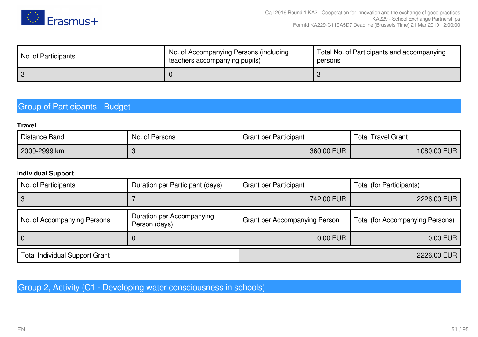

| No. of Participants | No. of Accompanying Persons (including<br>teachers accompanying pupils) | Total No. of Participants and accompanying<br>persons |
|---------------------|-------------------------------------------------------------------------|-------------------------------------------------------|
|                     |                                                                         |                                                       |

#### **Travel**

| Distance Band | No. of Persons | <b>Grant per Participant</b> | <b>Total Travel Grant</b> |
|---------------|----------------|------------------------------|---------------------------|
| 2000-2999 km  |                | 360.00 EUR                   | 1080.00 EUR               |

#### **Individual Support**

| No. of Participants                   | Duration per Participant (days)            | <b>Grant per Participant</b>  | Total (for Participants)                |
|---------------------------------------|--------------------------------------------|-------------------------------|-----------------------------------------|
|                                       |                                            | 742.00 EUR                    | 2226.00 EUR                             |
| No. of Accompanying Persons           | Duration per Accompanying<br>Person (days) | Grant per Accompanying Person | <b>Total (for Accompanying Persons)</b> |
| υ                                     |                                            | 0.00 EUR                      | 0.00 EUR                                |
| <b>Total Individual Support Grant</b> |                                            | 2226.00 EUR                   |                                         |

Group 2, Activity (C1 - Developing water consciousness in schools)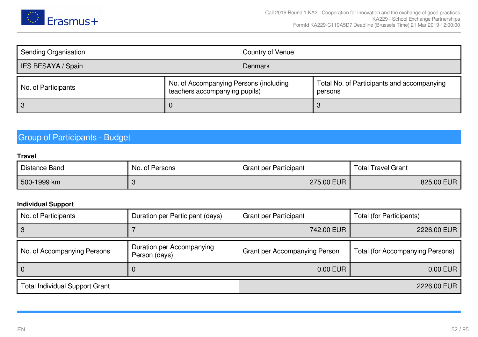

| <b>Sending Organisation</b> |                                                                         | Country of Venue |                                                       |
|-----------------------------|-------------------------------------------------------------------------|------------------|-------------------------------------------------------|
| <b>IES BESAYA / Spain</b>   |                                                                         | Denmark          |                                                       |
| No. of Participants         | No. of Accompanying Persons (including<br>teachers accompanying pupils) |                  | Total No. of Participants and accompanying<br>persons |
| -3                          |                                                                         |                  |                                                       |

#### **Travel**

| Distance Band | No. of Persons | <b>Grant per Participant</b> | <b>Total Travel Grant</b> |
|---------------|----------------|------------------------------|---------------------------|
| 500-1999 km   |                | 275.00 EUR                   | 825.00 EUR                |

| No. of Participants                   | Duration per Participant (days)            | <b>Grant per Participant</b>  | Total (for Participants)                |  |
|---------------------------------------|--------------------------------------------|-------------------------------|-----------------------------------------|--|
|                                       |                                            | 742.00 EUR                    | 2226.00 EUR                             |  |
| No. of Accompanying Persons           | Duration per Accompanying<br>Person (days) | Grant per Accompanying Person | <b>Total (for Accompanying Persons)</b> |  |
|                                       |                                            | 0.00 EUR                      |                                         |  |
| <b>Total Individual Support Grant</b> |                                            | 2226.00 EUR                   |                                         |  |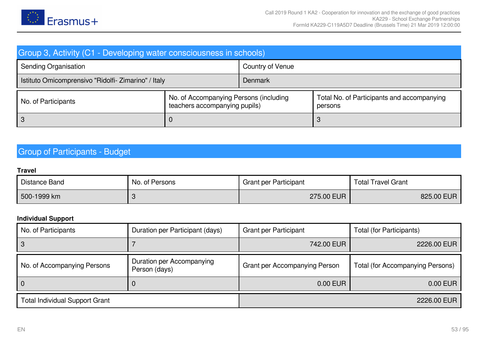

| Group 3, Activity (C1 - Developing water consciousness in schools) |                                                                         |                  |                                                       |  |  |
|--------------------------------------------------------------------|-------------------------------------------------------------------------|------------------|-------------------------------------------------------|--|--|
| <b>Sending Organisation</b>                                        |                                                                         | Country of Venue |                                                       |  |  |
| Istituto Omicomprensivo "Ridolfi- Zimarino" / Italy                |                                                                         | <b>Denmark</b>   |                                                       |  |  |
| No. of Participants                                                | No. of Accompanying Persons (including<br>teachers accompanying pupils) |                  | Total No. of Participants and accompanying<br>persons |  |  |
|                                                                    |                                                                         |                  |                                                       |  |  |

#### **Travel**

| Distance Band | No. of Persons | <b>Grant per Participant</b> | Total Travel Grant |
|---------------|----------------|------------------------------|--------------------|
| 500-1999 km   |                | 275.00 EUR                   | 825.00 EUR         |

| No. of Participants                   | Duration per Participant (days)            | <b>Grant per Participant</b>         | <b>Total (for Participants)</b>  |  |
|---------------------------------------|--------------------------------------------|--------------------------------------|----------------------------------|--|
|                                       |                                            | 742.00 EUR                           | 2226,00 EUR                      |  |
| No. of Accompanying Persons           | Duration per Accompanying<br>Person (days) | <b>Grant per Accompanying Person</b> | Total (for Accompanying Persons) |  |
|                                       |                                            | 0.00 EUR                             | 0.00 EUR                         |  |
| <b>Total Individual Support Grant</b> |                                            | 2226.00 EUR                          |                                  |  |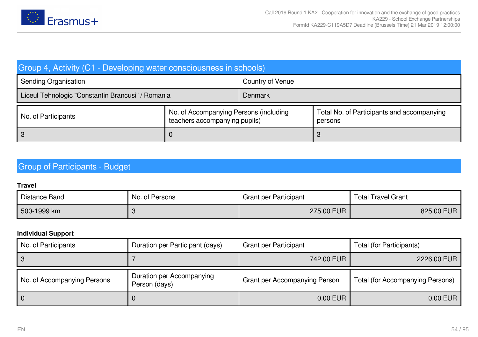

| Group 4, Activity (C1 - Developing water consciousness in schools) |                                                                         |                  |                                                       |  |  |
|--------------------------------------------------------------------|-------------------------------------------------------------------------|------------------|-------------------------------------------------------|--|--|
| <b>Sending Organisation</b>                                        |                                                                         | Country of Venue |                                                       |  |  |
| Liceul Tehnologic "Constantin Brancusi" / Romania                  |                                                                         | <b>Denmark</b>   |                                                       |  |  |
| No. of Participants                                                | No. of Accompanying Persons (including<br>teachers accompanying pupils) |                  | Total No. of Participants and accompanying<br>persons |  |  |
|                                                                    | C                                                                       |                  |                                                       |  |  |

#### **Travel**

| Distance Band | No. of Persons | <b>Grant per Participant</b> | Total Travel Grant |
|---------------|----------------|------------------------------|--------------------|
| 500-1999 km   |                | 275.00 EUR                   | 825.00 EUR         |

| No. of Participants         | Duration per Participant (days)            | <b>Grant per Participant</b>  | Total (for Participants)                |  |
|-----------------------------|--------------------------------------------|-------------------------------|-----------------------------------------|--|
|                             |                                            | 742.00 EUR                    | 2226.00 EUR                             |  |
| No. of Accompanying Persons | Duration per Accompanying<br>Person (days) | Grant per Accompanying Person | <b>Total (for Accompanying Persons)</b> |  |
|                             |                                            | 0.00 EUR                      | 0.00 EUR                                |  |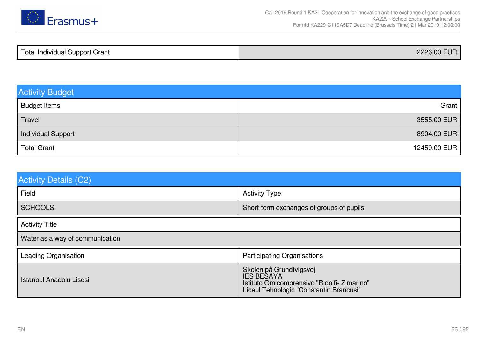

| <b>Total Individual Support Grant</b> | 2226.00 EUR |
|---------------------------------------|-------------|
|---------------------------------------|-------------|

| <b>Activity Budget</b>    |              |
|---------------------------|--------------|
| <b>Budget Items</b>       | Grant        |
| <b>Travel</b>             | 3555.00 EUR  |
| <b>Individual Support</b> | 8904.00 EUR  |
| <b>Total Grant</b>        | 12459.00 EUR |

| <b>Activity Details (C2)</b>    |                                                                                                                                        |  |  |
|---------------------------------|----------------------------------------------------------------------------------------------------------------------------------------|--|--|
| Field                           | <b>Activity Type</b>                                                                                                                   |  |  |
| <b>SCHOOLS</b>                  | Short-term exchanges of groups of pupils                                                                                               |  |  |
| <b>Activity Title</b>           |                                                                                                                                        |  |  |
| Water as a way of communication |                                                                                                                                        |  |  |
| Leading Organisation            | <b>Participating Organisations</b>                                                                                                     |  |  |
| Istanbul Anadolu Lisesi         | Skolen på Grundtvigsvej<br><b>IES BESAYA</b><br>Istituto Omicomprensivo "Ridolfi- Zimarino"<br>Liceul Tehnologic "Constantin Brancusi" |  |  |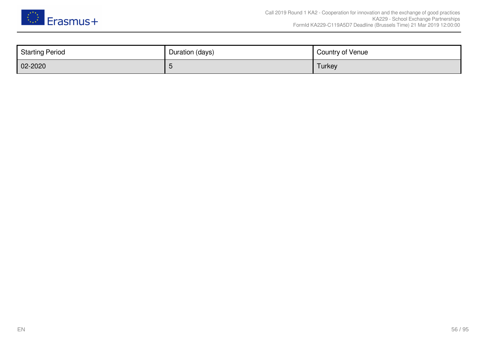

| <b>Starting Period</b> | Duration (days) | Country of Venue |
|------------------------|-----------------|------------------|
| 02-2020                |                 | Turkey           |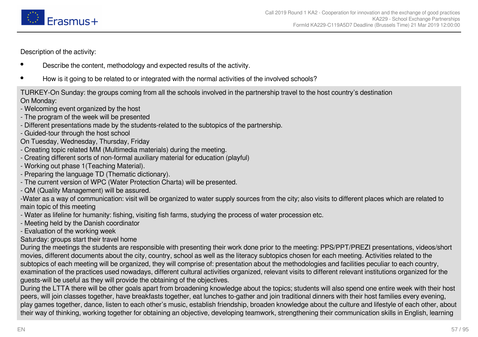

Description of the activity:

- ●Describe the content, methodology and expected results of the activity.
- ●How is it going to be related to or integrated with the normal activities of the involved schools?

TURKEY-On Sunday: the groups coming from all the schools involved in the partnership travel to the host country's destinationOn Monday:

- Welcoming event organized by the host
- The program of the week will be presented
- Different presentations made by the students-related to the subtopics of the partnership.
- Guided-tour through the host school

On Tuesday, Wednesday, Thursday, Friday

- Creating topic related MM (Multimedia materials) during the meeting.
- Creating different sorts of non-formal auxiliary material for education (playful)
- Working out phase 1(Teaching Material).
- Preparing the language TD (Thematic dictionary).
- The current version of WPC (Water Protection Charta) will be presented.
- QM (Quality Management) will be assured.

 -Water as a way of communication: visit will be organized to water supply sources from the city; also visits to different places which are related tomain topic of this meeting

- Water as lifeline for humanity: fishing, visiting fish farms, studying the process of water procession etc.
- Meeting held by the Danish coordinator
- Evaluation of the working week

Saturday: groups start their travel home

 During the meetings the students are responsible with presenting their work done prior to the meeting: PPS/PPT/PREZI presentations, videos/shortmovies, different documents about the city, country, school as well as the literacy subtopics chosen for each meeting. Activities related to the subtopics of each meeting will be organized, they will comprise of: presentation about the methodologies and facilities peculiar to each country, examination of the practices used nowadays, different cultural activities organized, relevant visits to different relevant institutions organized for theguests-will be useful as they will provide the obtaining of the objectives.

 During the LTTA there will be other goals apart from broadening knowledge about the topics; students will also spend one entire week with their hostpeers, will join classes together, have breakfasts together, eat lunches to-gather and join traditional dinners with their host families every evening, play games together, dance, listen to each other's music, establish friendship, broaden knowledge about the culture and lifestyle of each other, abouttheir way of thinking, working together for obtaining an objective, developing teamwork, strengthening their communication skills in English, learning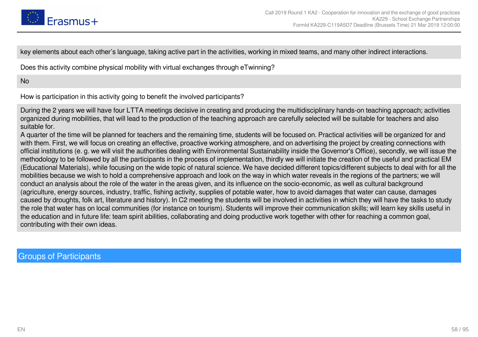

key elements about each other's language, taking active part in the activities, working in mixed teams, and many other indirect interactions.

Does this activity combine physical mobility with virtual exchanges through eTwinning?

No

How is participation in this activity going to benefit the involved participants?

During the 2 years we will have four LTTA meetings decisive in creating and producing the multidisciplinary hands-on teaching approach; activitiesorganized during mobilities, that will lead to the production of the teaching approach are carefully selected will be suitable for teachers and alsosuitable for.

 A quarter of the time will be planned for teachers and the remaining time, students will be focused on. Practical activities will be organized for and with them. First, we will focus on creating an effective, proactive working atmosphere, and on advertising the project by creating connections with official institutions (e. g. we will visit the authorities dealing with Environmental Sustainability inside the Governor's Office), secondly, we will issue themethodology to be followed by all the participants in the process of implementation, thirdly we will initiate the creation of the useful and practical EM (Educational Materials), while focusing on the wide topic of natural science. We have decided different topics/different subjects to deal with for all themobilities because we wish to hold a comprehensive approach and look on the way in which water reveals in the regions of the partners; we will conduct an analysis about the role of the water in the areas given, and its influence on the socio-economic, as well as cultural background (agriculture, energy sources, industry, traffic, fishing activity, supplies of potable water, how to avoid damages that water can cause, damages caused by droughts, folk art, literature and history). In C2 meeting the students will be involved in activities in which they will have the tasks to study the role that water has on local communities (for instance on tourism). Students will improve their communication skills; will learn key skills useful inthe education and in future life: team spirit abilities, collaborating and doing productive work together with other for reaching a common goal,contributing with their own ideas.

Groups of Participants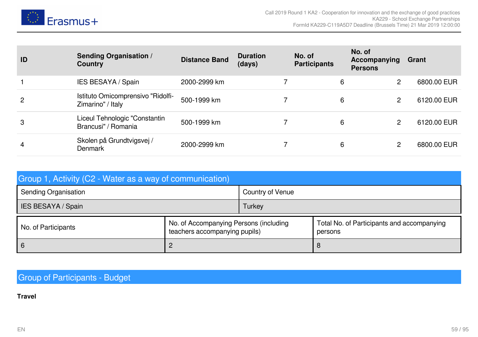

| ID | <b>Sending Organisation /</b><br><b>Country</b>        | <b>Distance Band</b> | <b>Duration</b><br>(days) | No. of<br><b>Participants</b> |   | No. of<br>Accompanying<br><b>Persons</b> | Grant       |
|----|--------------------------------------------------------|----------------------|---------------------------|-------------------------------|---|------------------------------------------|-------------|
|    | <b>IES BESAYA / Spain</b>                              | 2000-2999 km         |                           |                               | 6 | $\overline{2}$                           | 6800.00 EUR |
| 2  | Istituto Omicomprensivo "Ridolfi-<br>Zimarino" / Italy | 500-1999 km          |                           |                               | 6 | $\overline{2}$                           | 6120.00 EUR |
| 3  | Liceul Tehnologic "Constantin<br>Brancusi" / Romania   | 500-1999 km          |                           |                               | 6 | 2                                        | 6120.00 EUR |
| 4  | Skolen på Grundtvigsvej /<br><b>Denmark</b>            | 2000-2999 km         |                           |                               | 6 | 2                                        | 6800.00 EUR |

| Group 1, Activity (C2 - Water as a way of communication) |                                                                         |                  |                                                       |  |
|----------------------------------------------------------|-------------------------------------------------------------------------|------------------|-------------------------------------------------------|--|
| <b>Sending Organisation</b>                              |                                                                         | Country of Venue |                                                       |  |
| IES BESAYA / Spain                                       |                                                                         | Turkey           |                                                       |  |
| No. of Participants                                      | No. of Accompanying Persons (including<br>teachers accompanying pupils) |                  | Total No. of Participants and accompanying<br>persons |  |
| l 6                                                      |                                                                         |                  |                                                       |  |

#### **Travel**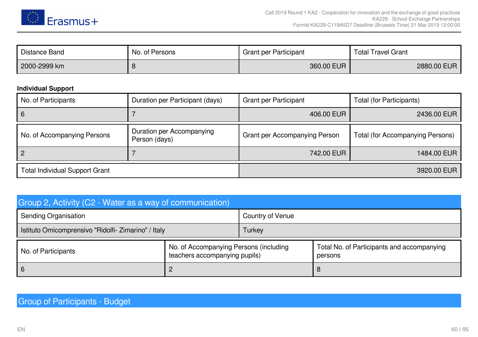

| Distance Band | No. of Persons | Grant per Participant | <b>Total Travel Grant</b> |
|---------------|----------------|-----------------------|---------------------------|
| 2000-2999 km  |                | 360.00 EUR            | 2880.00 EUR               |

| No. of Participants                   | Duration per Participant (days)            | <b>Grant per Participant</b>  | <b>Total (for Participants)</b>  |
|---------------------------------------|--------------------------------------------|-------------------------------|----------------------------------|
| 6                                     |                                            | 406.00 EUR                    | 2436.00 EUR                      |
| No. of Accompanying Persons           | Duration per Accompanying<br>Person (days) | Grant per Accompanying Person | Total (for Accompanying Persons) |
|                                       |                                            | 742.00 EUR                    | 1484.00 EUR                      |
| <b>Total Individual Support Grant</b> |                                            | 3920.00 EUR                   |                                  |

| Group 2, Activity (C2 - Water as a way of communication) |                                                                         |                  |                                                       |  |
|----------------------------------------------------------|-------------------------------------------------------------------------|------------------|-------------------------------------------------------|--|
| <b>Sending Organisation</b>                              |                                                                         | Country of Venue |                                                       |  |
| Istituto Omicomprensivo "Ridolfi- Zimarino" / Italy      |                                                                         | Turkey           |                                                       |  |
| No. of Participants                                      | No. of Accompanying Persons (including<br>teachers accompanying pupils) |                  | Total No. of Participants and accompanying<br>persons |  |
| l 6                                                      |                                                                         |                  |                                                       |  |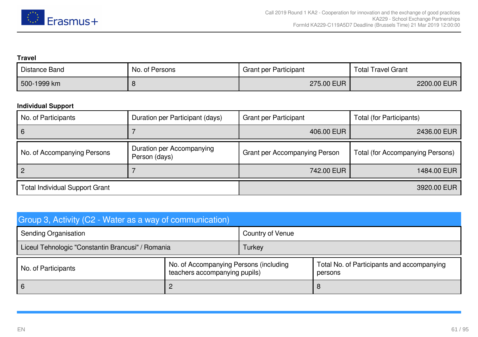

### **Travel**

| Distance Band | No. of Persons | <b>Grant per Participant</b> | <b>Total Travel Grant</b> |
|---------------|----------------|------------------------------|---------------------------|
| 500-1999 km   |                | 275.00 EUR                   | 2200.00 EUR               |

| No. of Participants                   | Duration per Participant (days)            | <b>Grant per Participant</b>  | Total (for Participants)                |
|---------------------------------------|--------------------------------------------|-------------------------------|-----------------------------------------|
| 6                                     |                                            | 406.00 EUR                    | 2436.00 EUR                             |
| No. of Accompanying Persons           | Duration per Accompanying<br>Person (days) | Grant per Accompanying Person | <b>Total (for Accompanying Persons)</b> |
|                                       |                                            | 742.00 EUR                    | 1484.00 EUR                             |
| <b>Total Individual Support Grant</b> |                                            |                               | 3920.00 EUR                             |

| Group 3, Activity (C2 - Water as a way of communication) |                                                                         |                  |                                                       |  |
|----------------------------------------------------------|-------------------------------------------------------------------------|------------------|-------------------------------------------------------|--|
| <b>Sending Organisation</b>                              |                                                                         | Country of Venue |                                                       |  |
| Liceul Tehnologic "Constantin Brancusi" / Romania        |                                                                         | Turkey           |                                                       |  |
| No. of Participants                                      | No. of Accompanying Persons (including<br>teachers accompanying pupils) |                  | Total No. of Participants and accompanying<br>persons |  |
| l 6                                                      |                                                                         |                  | 8                                                     |  |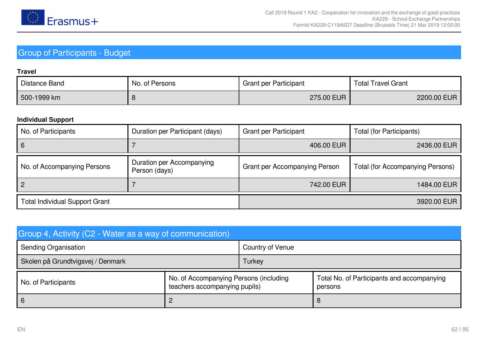

**Travel**

| Distance Band      | No. of Persons | <b>Grant per Participant</b> | <b>Total Travel Grant</b> |
|--------------------|----------------|------------------------------|---------------------------|
| <b>500-1999 km</b> |                | 275.00 EUR                   | 2200.00 EUR               |

| No. of Participants                   | Duration per Participant (days)            | <b>Grant per Participant</b>  | Total (for Participants)         |
|---------------------------------------|--------------------------------------------|-------------------------------|----------------------------------|
|                                       |                                            | 406.00 EUR                    | 2436.00 EUR                      |
| No. of Accompanying Persons           | Duration per Accompanying<br>Person (days) | Grant per Accompanying Person | Total (for Accompanying Persons) |
|                                       |                                            | 742.00 EUR                    | 1484.00 EUR                      |
| <b>Total Individual Support Grant</b> |                                            | 3920.00 EUR                   |                                  |

| Group 4, Activity (C2 - Water as a way of communication) |                                                                         |                  |                                                       |  |
|----------------------------------------------------------|-------------------------------------------------------------------------|------------------|-------------------------------------------------------|--|
| <b>Sending Organisation</b>                              |                                                                         | Country of Venue |                                                       |  |
| Skolen på Grundtvigsvej / Denmark                        |                                                                         | Turkey           |                                                       |  |
| No. of Participants                                      | No. of Accompanying Persons (including<br>teachers accompanying pupils) |                  | Total No. of Participants and accompanying<br>persons |  |
| 6                                                        |                                                                         |                  | 8                                                     |  |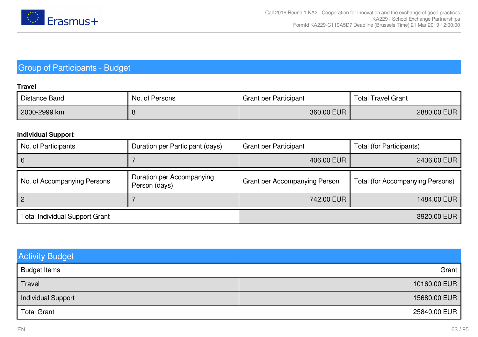

**Travel**

| Distance Band | No. of Persons | <b>Grant per Participant</b> | <b>Total Travel Grant</b> |
|---------------|----------------|------------------------------|---------------------------|
| 2000-2999 km  |                | 360.00 EUR                   | 2880.00 EUR               |

| No. of Participants                   | Duration per Participant (days)            | <b>Grant per Participant</b>  | <b>Total (for Participants)</b>         |
|---------------------------------------|--------------------------------------------|-------------------------------|-----------------------------------------|
|                                       |                                            | 406.00 EUR                    | 2436.00 EUR                             |
| No. of Accompanying Persons           | Duration per Accompanying<br>Person (days) | Grant per Accompanying Person | <b>Total (for Accompanying Persons)</b> |
|                                       |                                            | 742.00 EUR                    | 1484.00 EUR                             |
| <b>Total Individual Support Grant</b> |                                            |                               | 3920.00 EUR                             |

| <b>Activity Budget</b>    |              |  |
|---------------------------|--------------|--|
| <b>Budget Items</b>       | Grant        |  |
| <b>Travel</b>             | 10160.00 EUR |  |
| <b>Individual Support</b> | 15680.00 EUR |  |
| <b>Total Grant</b>        | 25840.00 EUR |  |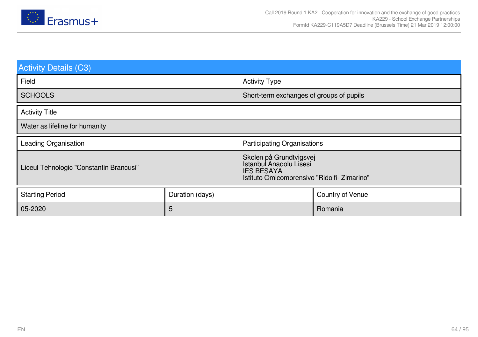

| <b>Activity Details (C3)</b>            |                 |                                                                                                                        |                         |
|-----------------------------------------|-----------------|------------------------------------------------------------------------------------------------------------------------|-------------------------|
| Field                                   |                 | <b>Activity Type</b>                                                                                                   |                         |
| <b>SCHOOLS</b>                          |                 | Short-term exchanges of groups of pupils                                                                               |                         |
| <b>Activity Title</b>                   |                 |                                                                                                                        |                         |
| Water as lifeline for humanity          |                 |                                                                                                                        |                         |
| Leading Organisation                    |                 | Participating Organisations                                                                                            |                         |
| Liceul Tehnologic "Constantin Brancusi" |                 | Skolen på Grundtvigsvej<br>Istanbul Anadolu Lisesi<br><b>IES BESAYA</b><br>Istituto Omicomprensivo "Ridolfi- Zimarino" |                         |
| <b>Starting Period</b>                  | Duration (days) |                                                                                                                        | <b>Country of Venue</b> |
| 05-2020                                 | 5               |                                                                                                                        | Romania                 |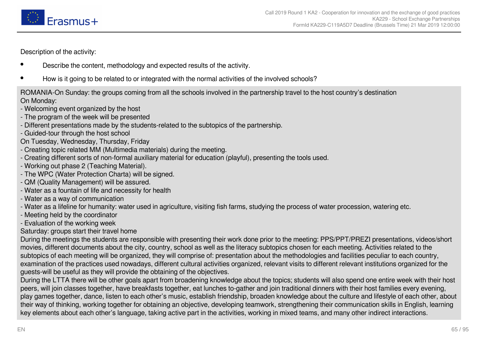

Description of the activity:

- ●Describe the content, methodology and expected results of the activity.
- ●How is it going to be related to or integrated with the normal activities of the involved schools?

ROMANIA-On Sunday: the groups coming from all the schools involved in the partnership travel to the host country's destinationOn Monday:

- Welcoming event organized by the host
- The program of the week will be presented
- Different presentations made by the students-related to the subtopics of the partnership.
- Guided-tour through the host school
- On Tuesday, Wednesday, Thursday, Friday
- Creating topic related MM (Multimedia materials) during the meeting.
- Creating different sorts of non-formal auxiliary material for education (playful), presenting the tools used.
- Working out phase 2 (Teaching Material).
- The WPC (Water Protection Charta) will be signed.
- QM (Quality Management) will be assured.
- Water as a fountain of life and necessity for health
- Water as a way of communication
- Water as a lifeline for humanity: water used in agriculture, visiting fish farms, studying the process of water procession, watering etc.
- Meeting held by the coordinator
- Evaluation of the working week

Saturday: groups start their travel home

 During the meetings the students are responsible with presenting their work done prior to the meeting: PPS/PPT/PREZI presentations, videos/shortmovies, different documents about the city, country, school as well as the literacy subtopics chosen for each meeting. Activities related to the subtopics of each meeting will be organized, they will comprise of: presentation about the methodologies and facilities peculiar to each country, examination of the practices used nowadays, different cultural activities organized, relevant visits to different relevant institutions organized for theguests-will be useful as they will provide the obtaining of the objectives.

 During the LTTA there will be other goals apart from broadening knowledge about the topics; students will also spend one entire week with their hostpeers, will join classes together, have breakfasts together, eat lunches to-gather and join traditional dinners with their host families every evening, play games together, dance, listen to each other's music, establish friendship, broaden knowledge about the culture and lifestyle of each other, abouttheir way of thinking, working together for obtaining an objective, developing teamwork, strengthening their communication skills in English, learningkey elements about each other's language, taking active part in the activities, working in mixed teams, and many other indirect interactions.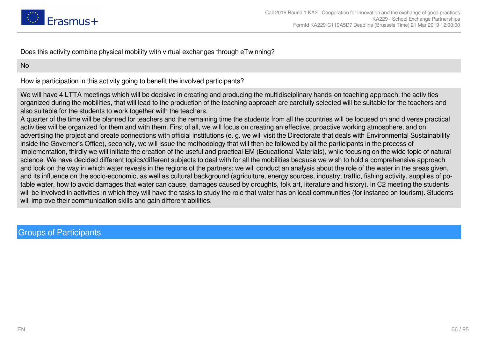

Does this activity combine physical mobility with virtual exchanges through eTwinning?

No

How is participation in this activity going to benefit the involved participants?

We will have 4 LTTA meetings which will be decisive in creating and producing the multidisciplinary hands-on teaching approach; the activities organized during the mobilities, that will lead to the production of the teaching approach are carefully selected will be suitable for the teachers andalso suitable for the students to work together with the teachers.

 A quarter of the time will be planned for teachers and the remaining time the students from all the countries will be focused on and diverse practical activities will be organized for them and with them. First of all, we will focus on creating an effective, proactive working atmosphere, and on advertising the project and create connections with official institutions (e. g. we will visit the Directorate that deals with Environmental Sustainabilityinside the Governer's Office), secondly, we will issue the methodology that will then be followed by all the participants in the process of implementation, thirdly we will initiate the creation of the useful and practical EM (Educational Materials), while focusing on the wide topic of natural science. We have decided different topics/different subjects to deal with for all the mobilities because we wish to hold a comprehensive approach and look on the way in which water reveals in the regions of the partners; we will conduct an analysis about the role of the water in the areas given, and its influence on the socio-economic, as well as cultural background (agriculture, energy sources, industry, traffic, fishing activity, supplies of potable water, how to avoid damages that water can cause, damages caused by droughts, folk art, literature and history). In C2 meeting the students will be involved in activities in which they will have the tasks to study the role that water has on local communities (for instance on tourism). Studentswill improve their communication skills and gain different abilities.

Groups of Participants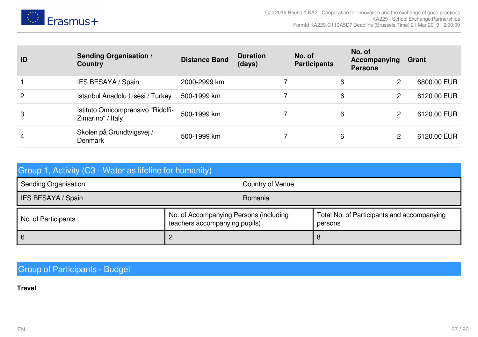

| ID             | <b>Sending Organisation /</b><br><b>Country</b>        | <b>Distance Band</b> | <b>Duration</b><br>(days) | No. of<br><b>Participants</b> | No. of<br>Accompanying<br><b>Persons</b> | Grant       |
|----------------|--------------------------------------------------------|----------------------|---------------------------|-------------------------------|------------------------------------------|-------------|
|                | <b>IES BESAYA / Spain</b>                              | 2000-2999 km         |                           |                               | $\overline{2}$<br>6                      | 6800.00 EUR |
| 2              | Istanbul Anadolu Lisesi / Turkey                       | 500-1999 km          |                           |                               | 6<br>2                                   | 6120.00 EUR |
| 3              | Istituto Omicomprensivo "Ridolfi-<br>Zimarino" / Italy | 500-1999 km          |                           |                               | 6<br>2                                   | 6120.00 EUR |
| $\overline{4}$ | Skolen på Grundtvigsvej /<br><b>Denmark</b>            | 500-1999 km          |                           |                               | 6<br>2                                   | 6120.00 EUR |

| Group 1, Activity (C3 - Water as lifeline for humanity) |                                                                         |                  |                                                       |  |
|---------------------------------------------------------|-------------------------------------------------------------------------|------------------|-------------------------------------------------------|--|
| <b>Sending Organisation</b>                             |                                                                         | Country of Venue |                                                       |  |
| <b>IES BESAYA / Spain</b>                               |                                                                         | Romania          |                                                       |  |
| No. of Participants                                     | No. of Accompanying Persons (including<br>teachers accompanying pupils) |                  | Total No. of Participants and accompanying<br>persons |  |
| l 6                                                     |                                                                         |                  | O                                                     |  |

#### **Travel**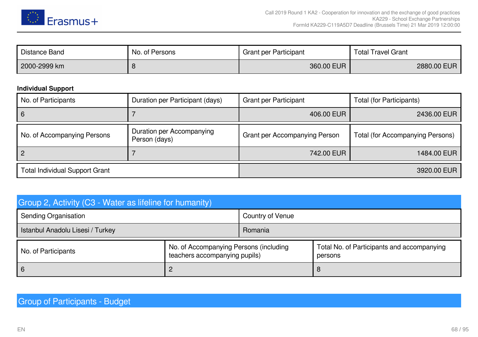

| Distance Band | No. of Persons | Grant per Participant | <b>Total Travel Grant</b> |
|---------------|----------------|-----------------------|---------------------------|
| 2000-2999 km  |                | 360.00 EUR            | 2880.00 EUR               |

| No. of Participants                   | Duration per Participant (days)            | <b>Grant per Participant</b>  | <b>Total (for Participants)</b>  |
|---------------------------------------|--------------------------------------------|-------------------------------|----------------------------------|
| 6                                     |                                            | 406.00 EUR                    | 2436.00 EUR                      |
| No. of Accompanying Persons           | Duration per Accompanying<br>Person (days) | Grant per Accompanying Person | Total (for Accompanying Persons) |
|                                       |                                            | 742.00 EUR                    | 1484.00 EUR                      |
| <b>Total Individual Support Grant</b> |                                            |                               | 3920.00 EUR                      |

| Group 2, Activity (C3 - Water as lifeline for humanity) |                                                                         |                  |                                                       |  |
|---------------------------------------------------------|-------------------------------------------------------------------------|------------------|-------------------------------------------------------|--|
| <b>Sending Organisation</b>                             |                                                                         | Country of Venue |                                                       |  |
| Istanbul Anadolu Lisesi / Turkey                        |                                                                         | Romania          |                                                       |  |
| No. of Participants                                     | No. of Accompanying Persons (including<br>teachers accompanying pupils) |                  | Total No. of Participants and accompanying<br>persons |  |
| l 6                                                     |                                                                         |                  |                                                       |  |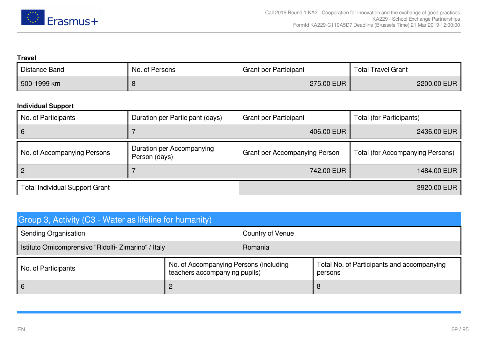

### **Travel**

| Distance Band | No. of Persons | <b>Grant per Participant</b> | <b>Total Travel Grant</b> |
|---------------|----------------|------------------------------|---------------------------|
| 500-1999 km   |                | 275.00 EUR                   | 2200.00 EUR               |

| No. of Participants                   | Duration per Participant (days)            | <b>Grant per Participant</b>  | Total (for Participants)                |
|---------------------------------------|--------------------------------------------|-------------------------------|-----------------------------------------|
| 6                                     |                                            | 406.00 EUR                    | 2436.00 EUR                             |
| No. of Accompanying Persons           | Duration per Accompanying<br>Person (days) | Grant per Accompanying Person | <b>Total (for Accompanying Persons)</b> |
|                                       |                                            | 742.00 EUR                    | 1484.00 EUR                             |
| <b>Total Individual Support Grant</b> |                                            |                               | 3920.00 EUR                             |

| Group 3, Activity (C3 - Water as lifeline for humanity) |                                                                         |                  |                                                       |  |
|---------------------------------------------------------|-------------------------------------------------------------------------|------------------|-------------------------------------------------------|--|
| <b>Sending Organisation</b>                             |                                                                         | Country of Venue |                                                       |  |
| Istituto Omicomprensivo "Ridolfi- Zimarino" / Italy     |                                                                         | Romania          |                                                       |  |
| No. of Participants                                     | No. of Accompanying Persons (including<br>teachers accompanying pupils) |                  | Total No. of Participants and accompanying<br>persons |  |
| l 6                                                     |                                                                         |                  | $\circ$                                               |  |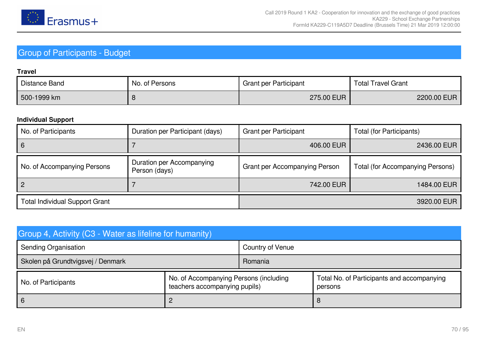

**Travel**

| Distance Band      | No. of Persons | <b>Grant per Participant</b> | <b>Total Travel Grant</b> |
|--------------------|----------------|------------------------------|---------------------------|
| <b>500-1999 km</b> |                | 275.00 EUR                   | 2200.00 EUR               |

| No. of Participants                   | Duration per Participant (days)            | <b>Grant per Participant</b>  | Total (for Participants)         |
|---------------------------------------|--------------------------------------------|-------------------------------|----------------------------------|
|                                       |                                            | 406.00 EUR                    | 2436.00 EUR                      |
| No. of Accompanying Persons           | Duration per Accompanying<br>Person (days) | Grant per Accompanying Person | Total (for Accompanying Persons) |
|                                       |                                            | 742.00 EUR                    | 1484.00 EUR                      |
| <b>Total Individual Support Grant</b> |                                            |                               | 3920.00 EUR                      |

| Group 4, Activity (C3 - Water as lifeline for humanity) |                                                                         |                  |                                                       |  |  |
|---------------------------------------------------------|-------------------------------------------------------------------------|------------------|-------------------------------------------------------|--|--|
| <b>Sending Organisation</b>                             |                                                                         | Country of Venue |                                                       |  |  |
| Skolen på Grundtvigsvej / Denmark                       |                                                                         | Romania          |                                                       |  |  |
| No. of Participants                                     | No. of Accompanying Persons (including<br>teachers accompanying pupils) |                  | Total No. of Participants and accompanying<br>persons |  |  |
| 6                                                       |                                                                         |                  | 8                                                     |  |  |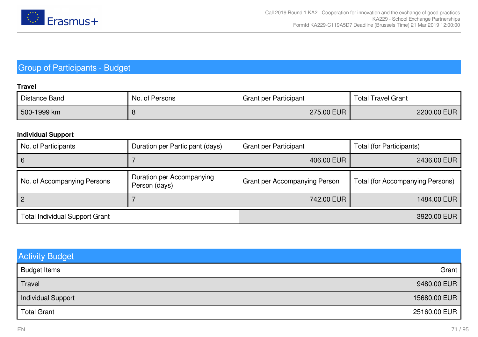

**Travel**

| Distance Band | No. of Persons | <b>Grant per Participant</b> | <b>Total Travel Grant</b> |
|---------------|----------------|------------------------------|---------------------------|
| 500-1999 km   |                | 275.00 EUR                   | 2200.00 EUR               |

| No. of Participants                   | Duration per Participant (days)            | <b>Grant per Participant</b>         | <b>Total (for Participants)</b>         |
|---------------------------------------|--------------------------------------------|--------------------------------------|-----------------------------------------|
|                                       |                                            | 406.00 EUR                           | 2436.00 EUR                             |
| No. of Accompanying Persons           | Duration per Accompanying<br>Person (days) | <b>Grant per Accompanying Person</b> | <b>Total (for Accompanying Persons)</b> |
|                                       |                                            | 742.00 EUR                           | 1484.00 EUR                             |
| <b>Total Individual Support Grant</b> |                                            |                                      | 3920.00 EUR                             |

| <b>Activity Budget</b>    |              |
|---------------------------|--------------|
| <b>Budget Items</b>       | Grant        |
| <b>Travel</b>             | 9480.00 EUR  |
| <b>Individual Support</b> | 15680.00 EUR |
| <b>Total Grant</b>        | 25160.00 EUR |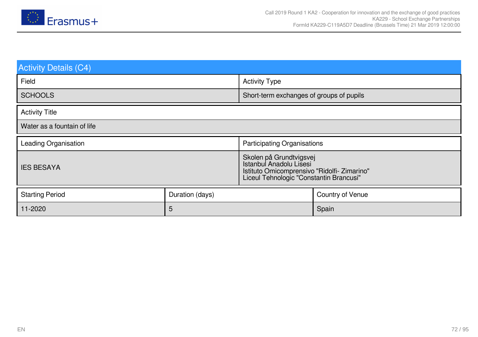

| <b>Activity Details (C4)</b> |                 |                                                                                                                                              |                  |  |
|------------------------------|-----------------|----------------------------------------------------------------------------------------------------------------------------------------------|------------------|--|
| Field                        |                 | <b>Activity Type</b>                                                                                                                         |                  |  |
| <b>SCHOOLS</b>               |                 | Short-term exchanges of groups of pupils                                                                                                     |                  |  |
| <b>Activity Title</b>        |                 |                                                                                                                                              |                  |  |
| Water as a fountain of life  |                 |                                                                                                                                              |                  |  |
| Leading Organisation         |                 | Participating Organisations                                                                                                                  |                  |  |
| <b>IES BESAYA</b>            |                 | Skolen på Grundtvigsvej<br>Istanbul Anadolu Lisesi<br>Istituto Omicomprensivo "Ridolfi- Zimarino"<br>Liceul Tehnologic "Constantin Brancusi" |                  |  |
| <b>Starting Period</b>       | Duration (days) |                                                                                                                                              | Country of Venue |  |
| 11-2020                      | 5               |                                                                                                                                              | Spain            |  |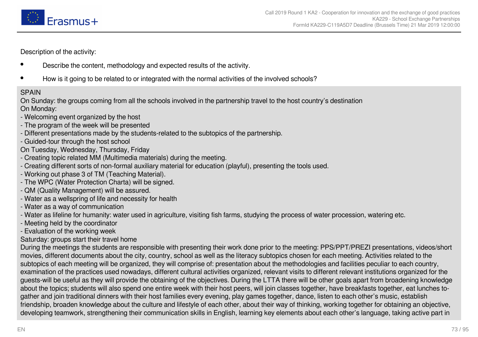

Description of the activity:

- ●Describe the content, methodology and expected results of the activity.
- ●How is it going to be related to or integrated with the normal activities of the involved schools?

### **SPAIN**

 On Sunday: the groups coming from all the schools involved in the partnership travel to the host country's destinationOn Monday:

- Welcoming event organized by the host
- The program of the week will be presented
- Different presentations made by the students-related to the subtopics of the partnership.
- Guided-tour through the host school

On Tuesday, Wednesday, Thursday, Friday

- Creating topic related MM (Multimedia materials) during the meeting.
- Creating different sorts of non-formal auxiliary material for education (playful), presenting the tools used.
- Working out phase 3 of TM (Teaching Material).
- The WPC (Water Protection Charta) will be signed.
- QM (Quality Management) will be assured.
- Water as a wellspring of life and necessity for health
- Water as a way of communication
- Water as lifeline for humanity: water used in agriculture, visiting fish farms, studying the process of water procession, watering etc.
- Meeting held by the coordinator
- Evaluation of the working week

### Saturday: groups start their travel home

 During the meetings the students are responsible with presenting their work done prior to the meeting: PPS/PPT/PREZI presentations, videos/shortmovies, different documents about the city, country, school as well as the literacy subtopics chosen for each meeting. Activities related to the subtopics of each meeting will be organized, they will comprise of: presentation about the methodologies and facilities peculiar to each country, examination of the practices used nowadays, different cultural activities organized, relevant visits to different relevant institutions organized for the guests-will be useful as they will provide the obtaining of the objectives. During the LTTA there will be other goals apart from broadening knowledge about the topics; students will also spend one entire week with their host peers, will join classes together, have breakfasts together, eat lunches togather and join traditional dinners with their host families every evening, play games together, dance, listen to each other's music, establish friendship, broaden knowledge about the culture and lifestyle of each other, about their way of thinking, working together for obtaining an objective,developing teamwork, strengthening their communication skills in English, learning key elements about each other's language, taking active part in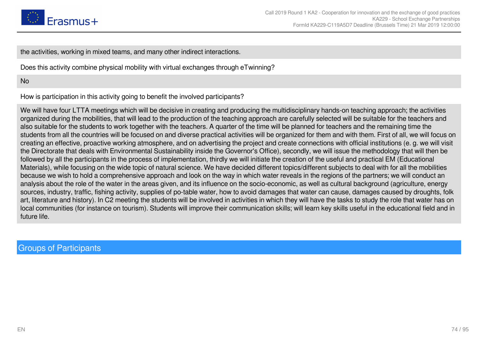

the activities, working in mixed teams, and many other indirect interactions.

Does this activity combine physical mobility with virtual exchanges through eTwinning?

No

How is participation in this activity going to benefit the involved participants?

We will have four LTTA meetings which will be decisive in creating and producing the multidisciplinary hands-on teaching approach; the activities organized during the mobilities, that will lead to the production of the teaching approach are carefully selected will be suitable for the teachers andalso suitable for the students to work together with the teachers. A quarter of the time will be planned for teachers and the remaining time the students from all the countries will be focused on and diverse practical activities will be organized for them and with them. First of all, we will focus on creating an effective, proactive working atmosphere, and on advertising the project and create connections with official institutions (e. g. we will visitthe Directorate that deals with Environmental Sustainability inside the Governor's Office), secondly, we will issue the methodology that will then befollowed by all the participants in the process of implementation, thirdly we will initiate the creation of the useful and practical EM (Educational Materials), while focusing on the wide topic of natural science. We have decided different topics/different subjects to deal with for all the mobilities because we wish to hold a comprehensive approach and look on the way in which water reveals in the regions of the partners; we will conduct an analysis about the role of the water in the areas given, and its influence on the socio-economic, as well as cultural background (agriculture, energy sources, industry, traffic, fishing activity, supplies of po-table water, how to avoid damages that water can cause, damages caused by droughts, folk art, literature and history). In C2 meeting the students will be involved in activities in which they will have the tasks to study the role that water has on local communities (for instance on tourism). Students will improve their communication skills; will learn key skills useful in the educational field and infuture life.

Groups of Participants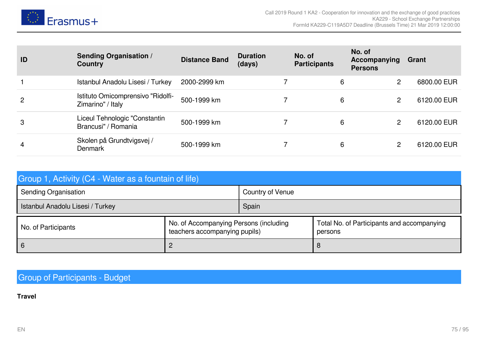

| ID             | <b>Sending Organisation /</b><br><b>Country</b>        | <b>Distance Band</b> | <b>Duration</b><br>(days) | No. of<br><b>Participants</b> |   | No. of<br>Accompanying<br><b>Persons</b> | Grant       |
|----------------|--------------------------------------------------------|----------------------|---------------------------|-------------------------------|---|------------------------------------------|-------------|
|                | Istanbul Anadolu Lisesi / Turkey                       | 2000-2999 km         |                           |                               | 6 | $\overline{2}$                           | 6800.00 EUR |
| 2              | Istituto Omicomprensivo "Ridolfi-<br>Zimarino" / Italy | 500-1999 km          |                           |                               | 6 | $\overline{2}$                           | 6120.00 EUR |
| 3              | Liceul Tehnologic "Constantin<br>Brancusi" / Romania   | 500-1999 km          |                           |                               | 6 | $\overline{2}$                           | 6120.00 EUR |
| $\overline{4}$ | Skolen på Grundtvigsvej /<br><b>Denmark</b>            | 500-1999 km          |                           |                               | 6 | $\overline{2}$                           | 6120.00 EUR |
|                |                                                        |                      |                           |                               |   |                                          |             |

| Group 1, Activity (C4 - Water as a fountain of life)                                           |  |                  |                                                       |  |  |  |
|------------------------------------------------------------------------------------------------|--|------------------|-------------------------------------------------------|--|--|--|
| <b>Sending Organisation</b>                                                                    |  | Country of Venue |                                                       |  |  |  |
| Istanbul Anadolu Lisesi / Turkey                                                               |  | Spain            |                                                       |  |  |  |
| No. of Accompanying Persons (including<br>No. of Participants<br>teachers accompanying pupils) |  |                  | Total No. of Participants and accompanying<br>persons |  |  |  |
| 6                                                                                              |  |                  |                                                       |  |  |  |

#### **Travel**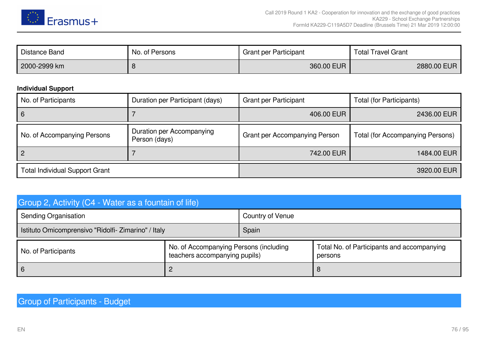

| Distance Band | No. of Persons | Grant per Participant | <b>Total Travel Grant</b> |
|---------------|----------------|-----------------------|---------------------------|
| 2000-2999 km  |                | 360.00 EUR            | 2880.00 EUR               |

| No. of Participants                   | Duration per Participant (days)            | <b>Grant per Participant</b><br><b>Total (for Participants)</b> |                                  |
|---------------------------------------|--------------------------------------------|-----------------------------------------------------------------|----------------------------------|
| 6                                     |                                            | 406.00 EUR                                                      | 2436.00 EUR                      |
| No. of Accompanying Persons           | Duration per Accompanying<br>Person (days) | Grant per Accompanying Person                                   | Total (for Accompanying Persons) |
|                                       |                                            | 742.00 EUR                                                      | 1484.00 EUR                      |
| <b>Total Individual Support Grant</b> |                                            |                                                                 | 3920.00 EUR                      |

| Group 2, Activity (C4 - Water as a fountain of life) |                                                                         |                  |                                                       |  |  |
|------------------------------------------------------|-------------------------------------------------------------------------|------------------|-------------------------------------------------------|--|--|
| <b>Sending Organisation</b>                          |                                                                         | Country of Venue |                                                       |  |  |
| Istituto Omicomprensivo "Ridolfi- Zimarino" / Italy  |                                                                         | Spain            |                                                       |  |  |
| No. of Participants                                  | No. of Accompanying Persons (including<br>teachers accompanying pupils) |                  | Total No. of Participants and accompanying<br>persons |  |  |
| -6                                                   |                                                                         |                  |                                                       |  |  |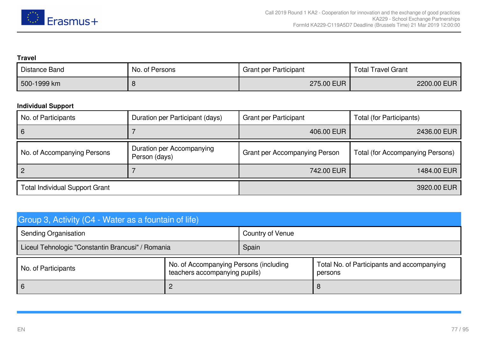

### **Travel**

| Distance Band | No. of Persons | <b>Grant per Participant</b> | <b>Total Travel Grant</b> |
|---------------|----------------|------------------------------|---------------------------|
| 500-1999 km   |                | 275.00 EUR                   | 2200.00 EUR               |

| No. of Participants                   | Duration per Participant (days)            | <b>Grant per Participant</b><br>Total (for Participants) |                                         |
|---------------------------------------|--------------------------------------------|----------------------------------------------------------|-----------------------------------------|
| 6                                     |                                            | 406.00 EUR                                               | 2436.00 EUR                             |
| No. of Accompanying Persons           | Duration per Accompanying<br>Person (days) | Grant per Accompanying Person                            | <b>Total (for Accompanying Persons)</b> |
|                                       |                                            | 742.00 EUR                                               | 1484.00 EUR                             |
| <b>Total Individual Support Grant</b> |                                            |                                                          | 3920.00 EUR                             |

| Group 3, Activity (C4 - Water as a fountain of life) |                                                                         |                  |                                                       |  |  |
|------------------------------------------------------|-------------------------------------------------------------------------|------------------|-------------------------------------------------------|--|--|
| <b>Sending Organisation</b>                          |                                                                         | Country of Venue |                                                       |  |  |
| Liceul Tehnologic "Constantin Brancusi" / Romania    |                                                                         | Spain            |                                                       |  |  |
| No. of Participants                                  | No. of Accompanying Persons (including<br>teachers accompanying pupils) |                  | Total No. of Participants and accompanying<br>persons |  |  |
| l 6                                                  |                                                                         |                  | $\circ$                                               |  |  |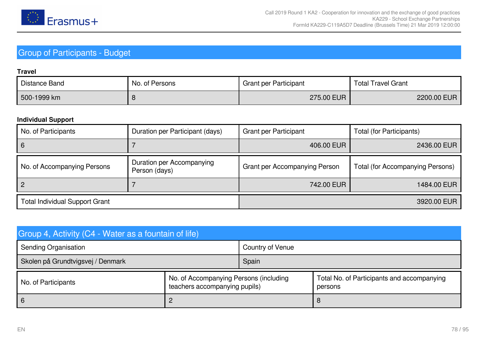

**Travel**

| Distance Band | No. of Persons | <b>Grant per Participant</b> | <b>Total Travel Grant</b> |
|---------------|----------------|------------------------------|---------------------------|
| 500-1999 km   |                | 275.00 EUR                   | 2200.00 EUR               |

| No. of Participants                   | Duration per Participant (days)            | <b>Grant per Participant</b><br>Total (for Participants) |                                  |
|---------------------------------------|--------------------------------------------|----------------------------------------------------------|----------------------------------|
|                                       |                                            | 406.00 EUR                                               | 2436.00 EUR                      |
| No. of Accompanying Persons           | Duration per Accompanying<br>Person (days) | Grant per Accompanying Person                            | Total (for Accompanying Persons) |
|                                       |                                            | 742.00 EUR                                               | 1484.00 EUR                      |
| <b>Total Individual Support Grant</b> |                                            |                                                          | 3920.00 EUR                      |

| Group 4, Activity (C4 - Water as a fountain of life)                                           |  |                  |                                                       |  |  |  |
|------------------------------------------------------------------------------------------------|--|------------------|-------------------------------------------------------|--|--|--|
| <b>Sending Organisation</b>                                                                    |  | Country of Venue |                                                       |  |  |  |
| Skolen på Grundtvigsvej / Denmark                                                              |  | Spain            |                                                       |  |  |  |
| No. of Accompanying Persons (including<br>No. of Participants<br>teachers accompanying pupils) |  |                  | Total No. of Participants and accompanying<br>persons |  |  |  |
| 6                                                                                              |  |                  | 8                                                     |  |  |  |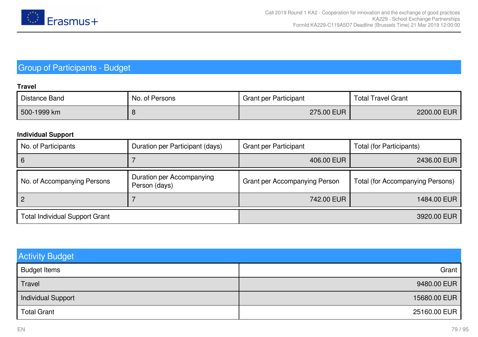

**Travel**

| Distance Band | No. of Persons | <b>Grant per Participant</b> | <b>Total Travel Grant</b> |
|---------------|----------------|------------------------------|---------------------------|
| 500-1999 km   |                | 275.00 EUR                   | 2200.00 EUR               |

| No. of Participants                   | Duration per Participant (days)            | <b>Grant per Participant</b>         | Total (for Participants)         |
|---------------------------------------|--------------------------------------------|--------------------------------------|----------------------------------|
| 6                                     |                                            | 406.00 EUR                           | 2436.00 EUR                      |
| No. of Accompanying Persons           | Duration per Accompanying<br>Person (days) | <b>Grant per Accompanying Person</b> | Total (for Accompanying Persons) |
|                                       |                                            | 742.00 EUR                           | 1484.00 EUR                      |
| <b>Total Individual Support Grant</b> |                                            |                                      | 3920.00 EUR                      |

| <b>Activity Budget</b>    |              |
|---------------------------|--------------|
| <b>Budget Items</b>       | Grant        |
| <b>Travel</b>             | 9480.00 EUR  |
| <b>Individual Support</b> | 15680.00 EUR |
| <b>Total Grant</b>        | 25160.00 EUR |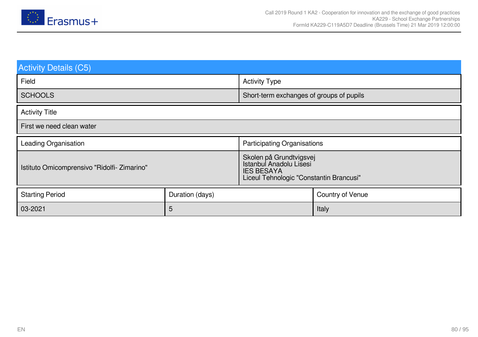

| <b>Activity Details (C5)</b>                |                 |                                                                                                                    |                         |  |
|---------------------------------------------|-----------------|--------------------------------------------------------------------------------------------------------------------|-------------------------|--|
| Field                                       |                 | <b>Activity Type</b>                                                                                               |                         |  |
| <b>SCHOOLS</b>                              |                 | Short-term exchanges of groups of pupils                                                                           |                         |  |
| <b>Activity Title</b>                       |                 |                                                                                                                    |                         |  |
| First we need clean water                   |                 |                                                                                                                    |                         |  |
| <b>Leading Organisation</b>                 |                 | Participating Organisations                                                                                        |                         |  |
| Istituto Omicomprensivo "Ridolfi- Zimarino" |                 | Skolen på Grundtvigsvej<br>Istanbul Anadolu Lisesi<br><b>IES BESAYA</b><br>Liceul Tehnologic "Constantin Brancusi" |                         |  |
| <b>Starting Period</b>                      | Duration (days) |                                                                                                                    | <b>Country of Venue</b> |  |
| 03-2021                                     | 5               |                                                                                                                    | Italy                   |  |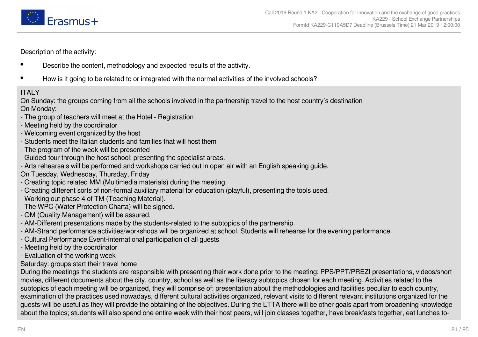

Description of the activity:

- ●Describe the content, methodology and expected results of the activity.
- ●How is it going to be related to or integrated with the normal activities of the involved schools?

### ITALY

 On Sunday: the groups coming from all the schools involved in the partnership travel to the host country's destinationOn Monday:

- The group of teachers will meet at the Hotel Registration
- Meeting held by the coordinator
- Welcoming event organized by the host
- Students meet the Italian students and families that will host them
- The program of the week will be presented
- Guided-tour through the host school: presenting the specialist areas.
- Arts rehearsals will be performed and workshops carried out in open air with an English speaking guide.
- On Tuesday, Wednesday, Thursday, Friday
- Creating topic related MM (Multimedia materials) during the meeting.
- Creating different sorts of non-formal auxiliary material for education (playful), presenting the tools used.
- Working out phase 4 of TM (Teaching Material).
- The WPC (Water Protection Charta) will be signed.
- QM (Quality Management) will be assured.
- AM-Different presentations made by the students-related to the subtopics of the partnership.
- AM-Strand performance activities/workshops will be organized at school. Students will rehearse for the evening performance.
- Cultural Performance Event-international participation of all guests
- Meeting held by the coordinator
- Evaluation of the working week

Saturday: groups start their travel home

 During the meetings the students are responsible with presenting their work done prior to the meeting: PPS/PPT/PREZI presentations, videos/shortmovies, different documents about the city, country, school as well as the literacy subtopics chosen for each meeting. Activities related to the subtopics of each meeting will be organized, they will comprise of: presentation about the methodologies and facilities peculiar to each country, examination of the practices used nowadays, different cultural activities organized, relevant visits to different relevant institutions organized for the guests-will be useful as they will provide the obtaining of the objectives. During the LTTA there will be other goals apart from broadening knowledgeabout the topics; students will also spend one entire week with their host peers, will join classes together, have breakfasts together, eat lunches to-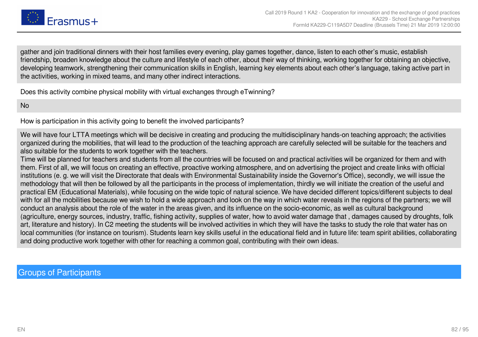

gather and join traditional dinners with their host families every evening, play games together, dance, listen to each other's music, establish friendship, broaden knowledge about the culture and lifestyle of each other, about their way of thinking, working together for obtaining an objective, developing teamwork, strengthening their communication skills in English, learning key elements about each other's language, taking active part inthe activities, working in mixed teams, and many other indirect interactions.

Does this activity combine physical mobility with virtual exchanges through eTwinning?

#### No

How is participation in this activity going to benefit the involved participants?

We will have four LTTA meetings which will be decisive in creating and producing the multidisciplinary hands-on teaching approach; the activities organized during the mobilities, that will lead to the production of the teaching approach are carefully selected will be suitable for the teachers andalso suitable for the students to work together with the teachers.

 Time will be planned for teachers and students from all the countries will be focused on and practical activities will be organized for them and with them. First of all, we will focus on creating an effective, proactive working atmosphere, and on advertising the project and create links with official institutions (e. g. we will visit the Directorate that deals with Environmental Sustainability inside the Governor's Office), secondly, we will issue the methodology that will then be followed by all the participants in the process of implementation, thirdly we will initiate the creation of the useful and practical EM (Educational Materials), while focusing on the wide topic of natural science. We have decided different topics/different subjects to deal with for all the mobilities because we wish to hold a wide approach and look on the way in which water reveals in the regions of the partners; we will conduct an analysis about the role of the water in the areas given, and its influence on the socio-economic, as well as cultural background (agriculture, energy sources, industry, traffic, fishing activity, supplies of water, how to avoid water damage that , damages caused by droughts, folkart, literature and history). In C2 meeting the students will be involved activities in which they will have the tasks to study the role that water has on local communities (for instance on tourism). Students learn key skills useful in the educational field and in future life: team spirit abilities, collaboratingand doing productive work together with other for reaching a common goal, contributing with their own ideas.

## Groups of Participants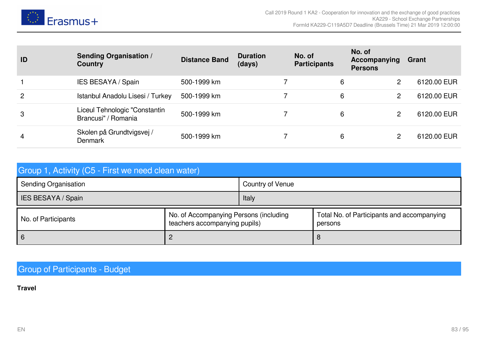

| ID             | <b>Sending Organisation /</b><br><b>Country</b>      | <b>Distance Band</b> | <b>Duration</b><br>(days) | No. of<br><b>Participants</b> | No. of<br>Accompanying<br><b>Persons</b> | Grant       |
|----------------|------------------------------------------------------|----------------------|---------------------------|-------------------------------|------------------------------------------|-------------|
|                | <b>IES BESAYA / Spain</b>                            | 500-1999 km          |                           |                               | 6<br>$\overline{2}$                      | 6120.00 EUR |
| 2              | Istanbul Anadolu Lisesi / Turkey                     | 500-1999 km          |                           |                               | 6<br>2                                   | 6120.00 EUR |
| 3              | Liceul Tehnologic "Constantin<br>Brancusi" / Romania | 500-1999 km          |                           |                               | 6<br>2                                   | 6120.00 EUR |
| $\overline{4}$ | Skolen på Grundtvigsvej /<br><b>Denmark</b>          | 500-1999 km          |                           |                               | 6<br>2                                   | 6120.00 EUR |

| Group 1, Activity (C5 - First we need clean water) |                                                                         |                  |                                                       |  |  |
|----------------------------------------------------|-------------------------------------------------------------------------|------------------|-------------------------------------------------------|--|--|
| <b>Sending Organisation</b>                        |                                                                         | Country of Venue |                                                       |  |  |
| IES BESAYA / Spain                                 |                                                                         | Italy            |                                                       |  |  |
| No. of Participants                                | No. of Accompanying Persons (including<br>teachers accompanying pupils) |                  | Total No. of Participants and accompanying<br>persons |  |  |
| l 6                                                |                                                                         |                  | O                                                     |  |  |

#### **Travel**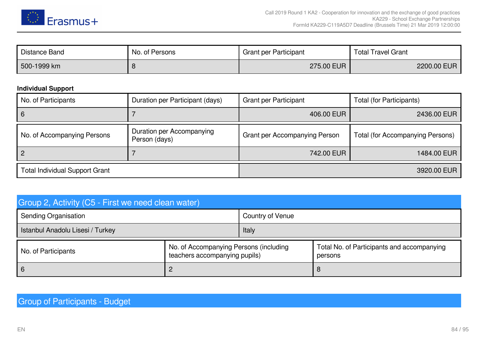

| Distance Band | No. of Persons | <b>Grant per Participant</b> | <b>Total Travel Grant</b> |
|---------------|----------------|------------------------------|---------------------------|
| 500-1999 km   |                | 275.00 EUR                   | 2200.00 EUR               |

| No. of Participants                   | Duration per Participant (days)            | <b>Grant per Participant</b><br><b>Total (for Participants)</b> |                                  |
|---------------------------------------|--------------------------------------------|-----------------------------------------------------------------|----------------------------------|
|                                       |                                            | 406.00 EUR                                                      | 2436.00 EUR                      |
| No. of Accompanying Persons           | Duration per Accompanying<br>Person (days) | Grant per Accompanying Person                                   | Total (for Accompanying Persons) |
|                                       |                                            | 742.00 EUR                                                      | 1484.00 EUR                      |
| <b>Total Individual Support Grant</b> |                                            |                                                                 | 3920.00 EUR                      |

| Group 2, Activity (C5 - First we need clean water) |                                                                         |                  |                                                       |  |  |
|----------------------------------------------------|-------------------------------------------------------------------------|------------------|-------------------------------------------------------|--|--|
| <b>Sending Organisation</b>                        |                                                                         | Country of Venue |                                                       |  |  |
| Istanbul Anadolu Lisesi / Turkey                   |                                                                         | Italy            |                                                       |  |  |
| No. of Participants                                | No. of Accompanying Persons (including<br>teachers accompanying pupils) |                  | Total No. of Participants and accompanying<br>persons |  |  |
| l 6                                                |                                                                         |                  | ୪                                                     |  |  |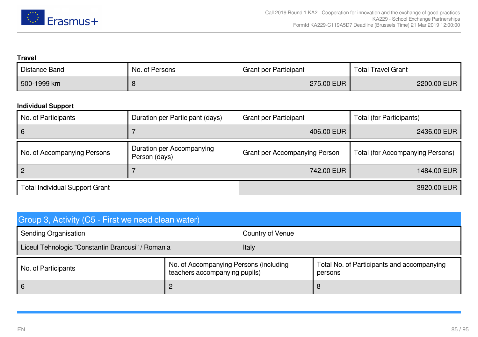

### **Travel**

| Distance Band | No. of Persons | <b>Grant per Participant</b> | <b>Total Travel Grant</b> |
|---------------|----------------|------------------------------|---------------------------|
| 500-1999 km   |                | 275.00 EUR                   | 2200.00 EUR               |

| No. of Participants                   | Duration per Participant (days)            | <b>Grant per Participant</b><br>Total (for Participants) |                                         |
|---------------------------------------|--------------------------------------------|----------------------------------------------------------|-----------------------------------------|
| 6                                     |                                            | 406.00 EUR                                               | 2436,00 EUR                             |
| No. of Accompanying Persons           | Duration per Accompanying<br>Person (days) | Grant per Accompanying Person                            | <b>Total (for Accompanying Persons)</b> |
|                                       |                                            | 742.00 EUR                                               | 1484.00 EUR                             |
| <b>Total Individual Support Grant</b> |                                            |                                                          | 3920.00 EUR                             |

| Group 3, Activity (C5 - First we need clean water) |                                                                         |                  |                                                       |  |  |
|----------------------------------------------------|-------------------------------------------------------------------------|------------------|-------------------------------------------------------|--|--|
| <b>Sending Organisation</b>                        |                                                                         | Country of Venue |                                                       |  |  |
| Liceul Tehnologic "Constantin Brancusi" / Romania  |                                                                         | Italy            |                                                       |  |  |
| No. of Participants                                | No. of Accompanying Persons (including<br>teachers accompanying pupils) |                  | Total No. of Participants and accompanying<br>persons |  |  |
| l 6                                                |                                                                         |                  | $\circ$                                               |  |  |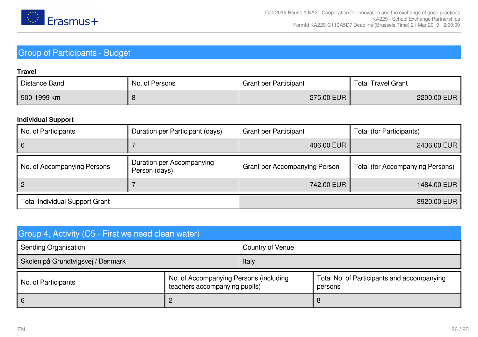

**Travel**

| Distance Band      | No. of Persons | <b>Grant per Participant</b> | <b>Total Travel Grant</b> |
|--------------------|----------------|------------------------------|---------------------------|
| <b>500-1999 km</b> |                | 275.00 EUR                   | 2200.00 EUR               |

| No. of Participants                   | Duration per Participant (days)            | <b>Grant per Participant</b>  | Total (for Participants)         |
|---------------------------------------|--------------------------------------------|-------------------------------|----------------------------------|
| b                                     |                                            | 406.00 EUR                    | 2436.00 EUR                      |
| No. of Accompanying Persons           | Duration per Accompanying<br>Person (days) | Grant per Accompanying Person | Total (for Accompanying Persons) |
|                                       |                                            | 742.00 EUR                    | 1484.00 EUR                      |
| <b>Total Individual Support Grant</b> |                                            |                               | 3920.00 EUR                      |

| Group 4, Activity (C5 - First we need clean water) |                                                                         |                  |                                                       |  |
|----------------------------------------------------|-------------------------------------------------------------------------|------------------|-------------------------------------------------------|--|
| <b>Sending Organisation</b>                        |                                                                         | Country of Venue |                                                       |  |
| Skolen på Grundtvigsvej / Denmark                  |                                                                         | Italy            |                                                       |  |
| No. of Participants                                | No. of Accompanying Persons (including<br>teachers accompanying pupils) |                  | Total No. of Participants and accompanying<br>persons |  |
| 8                                                  |                                                                         |                  |                                                       |  |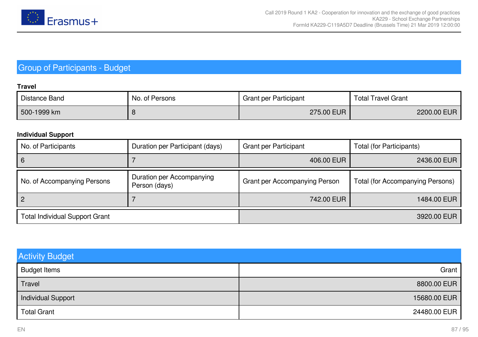

**Travel**

| Distance Band | No. of Persons | <b>Grant per Participant</b> | <b>Total Travel Grant</b> |
|---------------|----------------|------------------------------|---------------------------|
| 500-1999 km   |                | 275.00 EUR                   | 2200.00 EUR               |

| No. of Participants                   | Duration per Participant (days)            | <b>Grant per Participant</b>         | Total (for Participants)         |
|---------------------------------------|--------------------------------------------|--------------------------------------|----------------------------------|
| 6                                     |                                            | 406.00 EUR                           | 2436.00 EUR                      |
| No. of Accompanying Persons           | Duration per Accompanying<br>Person (days) | <b>Grant per Accompanying Person</b> | Total (for Accompanying Persons) |
|                                       |                                            | 742.00 EUR                           | 1484.00 EUR                      |
| <b>Total Individual Support Grant</b> |                                            |                                      | 3920.00 EUR                      |

| <b>Activity Budget</b>    |              |
|---------------------------|--------------|
| <b>Budget Items</b>       | Grant        |
| Travel                    | 8800.00 EUR  |
| <b>Individual Support</b> | 15680.00 EUR |
| <b>Total Grant</b>        | 24480.00 EUR |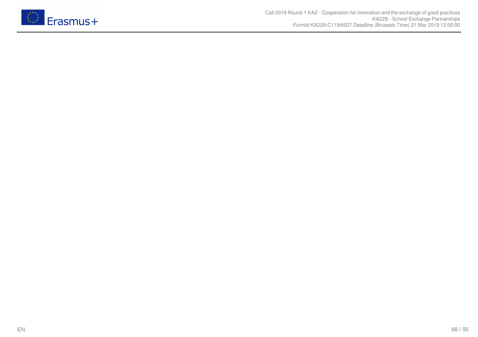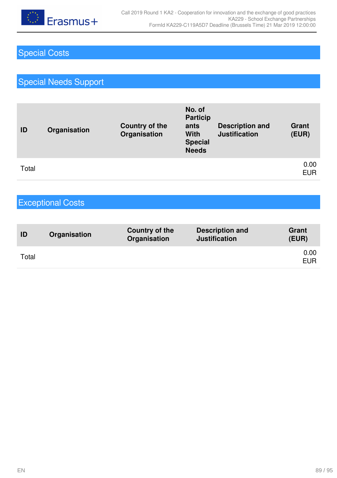

## **Special Costs**

# Special Needs Support

| ID    | Organisation | Country of the<br>Organisation | No. of<br><b>Particip</b><br>ants<br><b>With</b><br><b>Special</b><br><b>Needs</b> | <b>Description and</b><br><b>Justification</b> | Grant<br>(EUR)     |
|-------|--------------|--------------------------------|------------------------------------------------------------------------------------|------------------------------------------------|--------------------|
| Total |              |                                |                                                                                    |                                                | 0.00<br><b>EUR</b> |

# Exceptional Costs

| ID    | Organisation | Country of the<br>Organisation | <b>Description and</b><br><b>Justification</b> | Grant<br>(EUR)     |
|-------|--------------|--------------------------------|------------------------------------------------|--------------------|
| Total |              |                                |                                                | 0.00<br><b>EUR</b> |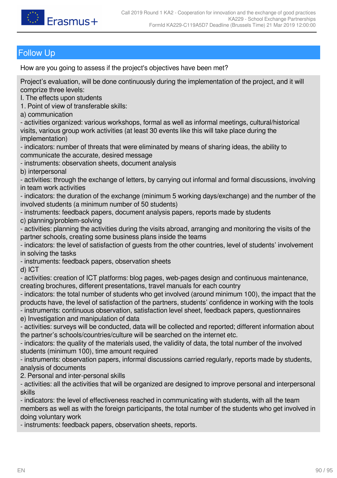

## Follow Up

How are you going to assess if the project's objectives have been met?

Project's evaluation, will be done continuously during the implementation of the project, and it will comprize three levels:

I. The effects upon students

1. Point of view of transferable skills:

a) communication

- activities organized: various workshops, formal as well as informal meetings, cultural/historical visits, various group work activities (at least 30 events like this will take place during the implementation)

- indicators: number of threats that were eliminated by means of sharing ideas, the ability to communicate the accurate, desired message

- instruments: observation sheets, document analysis

b) interpersonal

- activities: through the exchange of letters, by carrying out informal and formal discussions, involving in team work activities

- indicators: the duration of the exchange (minimum 5 working days/exchange) and the number of the involved students (a minimum number of 50 students)

- instruments: feedback papers, document analysis papers, reports made by students

c) planning/problem-solving

- activities: planning the activities during the visits abroad, arranging and monitoring the visits of the partner schools, creating some business plans inside the teams

- indicators: the level of satisfaction of guests from the other countries, level of students' involvement in solving the tasks

- instruments: feedback papers, observation sheets

d) ICT

- activities: creation of ICT platforms: blog pages, web-pages design and continuous maintenance, creating brochures, different presentations, travel manuals for each country

- indicators: the total number of students who get involved (around minimum 100), the impact that the products have, the level of satisfaction of the partners, students' confidence in working with the tools - instruments: continuous observation, satisfaction level sheet, feedback papers, questionnaires

e) Investigation and manipulation of data

- activities: surveys will be conducted, data will be collected and reported; different information about the partner's schools/countries/culture will be searched on the internet etc.

- indicators: the quality of the materials used, the validity of data, the total number of the involved students (minimum 100), time amount required

- instruments: observation papers, informal discussions carried regularly, reports made by students, analysis of documents

2. Personal and inter-personal skills

- activities: all the activities that will be organized are designed to improve personal and interpersonal skills

- indicators: the level of effectiveness reached in communicating with students, with all the team members as well as with the foreign participants, the total number of the students who get involved in doing voluntary work

- instruments: feedback papers, observation sheets, reports.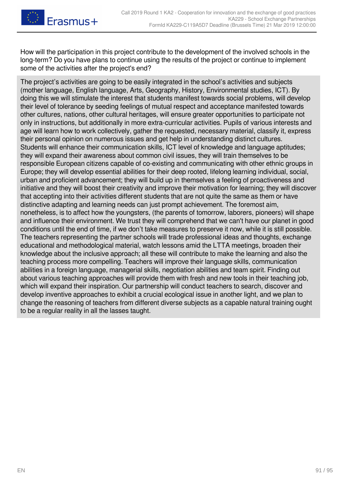

How will the participation in this project contribute to the development of the involved schools in the long-term? Do you have plans to continue using the results of the project or continue to implement some of the activities after the project's end?

The project's activities are going to be easily integrated in the school's activities and subjects (mother language, English language, Arts, Geography, History, Environmental studies, ICT). By doing this we will stimulate the interest that students manifest towards social problems, will develop their level of tolerance by seeding feelings of mutual respect and acceptance manifested towards other cultures, nations, other cultural heritages, will ensure greater opportunities to participate not only in instructions, but additionally in more extra-curricular activities. Pupils of various interests and age will learn how to work collectively, gather the requested, necessary material, classify it, express their personal opinion on numerous issues and get help in understanding distinct cultures. Students will enhance their communication skills, ICT level of knowledge and language aptitudes; they will expand their awareness about common civil issues, they will train themselves to be responsible European citizens capable of co-existing and communicating with other ethnic groups in Europe; they will develop essential abilities for their deep rooted, lifelong learning individual, social, urban and proficient advancement; they will build up in themselves a feeling of proactiveness and initiative and they will boost their creativity and improve their motivation for learning; they will discover that accepting into their activities different students that are not quite the same as them or have distinctive adapting and learning needs can just prompt achievement. The foremost aim, nonetheless, is to affect how the youngsters, (the parents of tomorrow, laborers, pioneers) will shape and influence their environment. We trust they will comprehend that we can't have our planet in good conditions until the end of time, if we don't take measures to preserve it now, while it is still possible. The teachers representing the partner schools will trade professional ideas and thoughts, exchange educational and methodological material, watch lessons amid the LTTA meetings, broaden their knowledge about the inclusive approach; all these will contribute to make the learning and also the teaching process more compelling. Teachers will improve their language skills, communication abilities in a foreign language, managerial skills, negotiation abilities and team spirit. Finding out about various teaching approaches will provide them with fresh and new tools in their teaching job, which will expand their inspiration. Our partnership will conduct teachers to search, discover and develop inventive approaches to exhibit a crucial ecological issue in another light, and we plan to change the reasoning of teachers from different diverse subjects as a capable natural training ought to be a regular reality in all the lasses taught.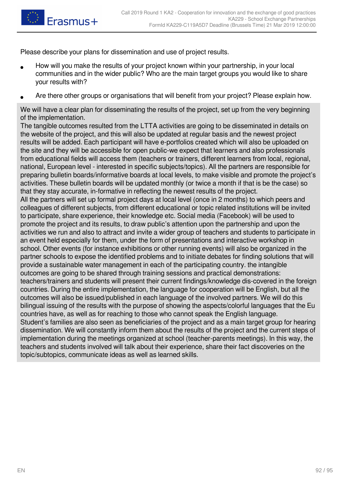

Please describe your plans for dissemination and use of project results.

- How will you make the results of your project known within your partnership, in your local communities and in the wider public? Who are the main target groups you would like to share your results with?
- Are there other groups or organisations that will benefit from your project? Please explain how.

We will have a clear plan for disseminating the results of the project, set up from the very beginning of the implementation.

The tangible outcomes resulted from the LTTA activities are going to be disseminated in details on the website of the project, and this will also be updated at regular basis and the newest project results will be added. Each participant will have e-portfolios created which will also be uploaded on the site and they will be accessible for open public-we expect that learners and also professionals from educational fields will access them (teachers or trainers, different learners from local, regional, national, European level - interested in specific subjects/topics). All the partners are responsible for preparing bulletin boards/informative boards at local levels, to make visible and promote the project's activities. These bulletin boards will be updated monthly (or twice a month if that is be the case) so that they stay accurate, in-formative in reflecting the newest results of the project. All the partners will set up formal project days at local level (once in 2 months) to which peers and colleagues of different subjects, from different educational or topic related institutions will be invited to participate, share experience, their knowledge etc. Social media (Facebook) will be used to promote the project and its results, to draw public's attention upon the partnership and upon the activities we run and also to attract and invite a wider group of teachers and students to participate in an event held especially for them, under the form of presentations and interactive workshop in school. Other events (for instance exhibitions or other running events) will also be organized in the partner schools to expose the identified problems and to initiate debates for finding solutions that will provide a sustainable water management in each of the participating country. the intangible outcomes are going to be shared through training sessions and practical demonstrations: teachers/trainers and students will present their current findings/knowledge dis-covered in the foreign countries. During the entire implementation, the language for cooperation will be English, but all the outcomes will also be issued/published in each language of the involved partners. We will do this bilingual issuing of the results with the purpose of showing the aspects/colorful languages that the Eu countries have, as well as for reaching to those who cannot speak the English language. Student's families are also seen as beneficiaries of the project and as a main target group for hearing dissemination. We will constantly inform them about the results of the project and the current steps of implementation during the meetings organized at school (teacher-parents meetings). In this way, the teachers and students involved will talk about their experience, share their fact discoveries on the topic/subtopics, communicate ideas as well as learned skills.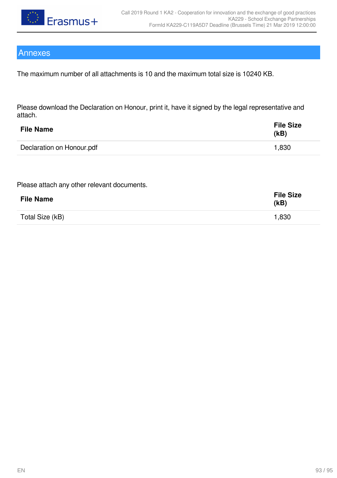

## Annexes

The maximum number of all attachments is 10 and the maximum total size is 10240 KB.

Please download the Declaration on Honour, print it, have it signed by the legal representative and attach.

| <b>File Name</b>          | <b>File Size</b><br>(KB) |
|---------------------------|--------------------------|
| Declaration on Honour.pdf | 1,830                    |

Please attach any other relevant documents.

| <b>File Name</b> | <b>File Size</b><br>(KB) |
|------------------|--------------------------|
| Total Size (kB)  | 1,830                    |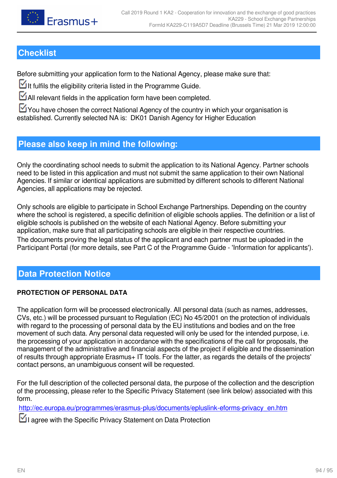

## **Checklist**

Before submitting your application form to the National Agency, please make sure that:

 $\blacksquare$ It fulfils the eligibility criteria listed in the Programme Guide.

All relevant fields in the application form have been completed.

 $\blacktriangleright$  You have chosen the correct National Agency of the country in which your organisation is established. Currently selected NA is: DK01 Danish Agency for Higher Education

## **Please also keep in mind the following:**

Only the coordinating school needs to submit the application to its National Agency. Partner schools need to be listed in this application and must not submit the same application to their own National Agencies. If similar or identical applications are submitted by different schools to different National Agencies, all applications may be rejected.

Only schools are eligible to participate in School Exchange Partnerships. Depending on the country where the school is registered, a specific definition of eligible schools applies. The definition or a list of eligible schools is published on the website of each National Agency. Before submitting your application, make sure that all participating schools are eligible in their respective countries. The documents proving the legal status of the applicant and each partner must be uploaded in the Participant Portal (for more details, see Part C of the Programme Guide - 'Information for applicants').

## **Data Protection Notice**

### **PROTECTION OF PERSONAL DATA**

The application form will be processed electronically. All personal data (such as names, addresses, CVs, etc.) will be processed pursuant to Regulation (EC) No 45/2001 on the protection of individuals with regard to the processing of personal data by the EU institutions and bodies and on the free movement of such data. Any personal data requested will only be used for the intended purpose, i.e. the processing of your application in accordance with the specifications of the call for proposals, the management of the administrative and financial aspects of the project if eligible and the dissemination of results through appropriate Erasmus + IT tools. For the latter, as regards the details of the projects' contact persons, an unambiguous consent will be requested.

For the full description of the collected personal data, the purpose of the collection and the description of the processing, please refer to the Specific Privacy Statement (see link below) associated with this form.

[http://ec.europa.eu/programmes/erasmus-plus/documents/epluslink-eforms-privacy\\_en.htm](http://ec.europa.eu/programmes/erasmus-plus/documents/epluslink-eforms-privacy_en.htm)

I agree with the Specific Privacy Statement on Data Protection